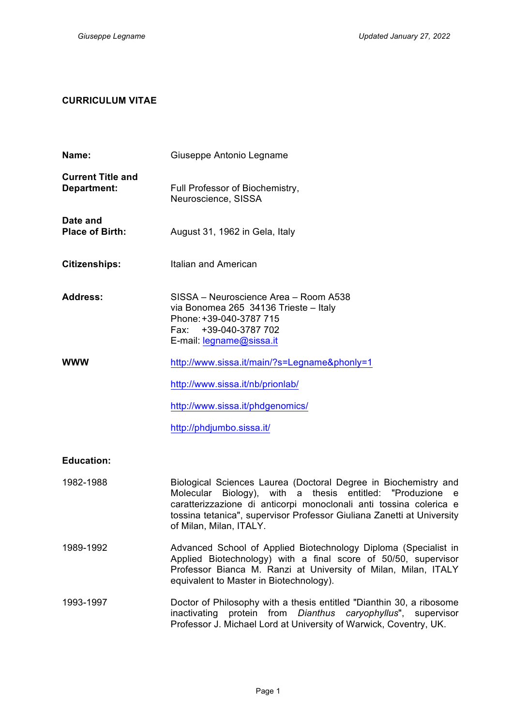# **CURRICULUM VITAE**

| Name:                                   | Giuseppe Antonio Legname                                                                                                                                                                                                                                                                                         |  |  |
|-----------------------------------------|------------------------------------------------------------------------------------------------------------------------------------------------------------------------------------------------------------------------------------------------------------------------------------------------------------------|--|--|
| <b>Current Title and</b><br>Department: | Full Professor of Biochemistry,<br>Neuroscience, SISSA                                                                                                                                                                                                                                                           |  |  |
| Date and<br><b>Place of Birth:</b>      | August 31, 1962 in Gela, Italy                                                                                                                                                                                                                                                                                   |  |  |
| <b>Citizenships:</b>                    | Italian and American                                                                                                                                                                                                                                                                                             |  |  |
| <b>Address:</b>                         | SISSA – Neuroscience Area – Room A538<br>via Bonomea 265 34136 Trieste - Italy<br>Phone: +39-040-3787 715<br>+39-040-3787 702<br>Fax:<br>E-mail: legname@sissa.it                                                                                                                                                |  |  |
| <b>WWW</b>                              | http://www.sissa.it/main/?s=Legname&phonly=1                                                                                                                                                                                                                                                                     |  |  |
|                                         | http://www.sissa.it/nb/prionlab/                                                                                                                                                                                                                                                                                 |  |  |
|                                         | http://www.sissa.it/phdgenomics/                                                                                                                                                                                                                                                                                 |  |  |
|                                         | http://phdjumbo.sissa.it/                                                                                                                                                                                                                                                                                        |  |  |
| <b>Education:</b>                       |                                                                                                                                                                                                                                                                                                                  |  |  |
| 1982-1988                               | Biological Sciences Laurea (Doctoral Degree in Biochemistry and<br>with a<br>thesis entitled: "Produzione e<br>Molecular<br>Biology),<br>caratterizzazione di anticorpi monoclonali anti tossina colerica e<br>tossina tetanica", supervisor Professor Giuliana Zanetti at University<br>of Milan, Milan, ITALY. |  |  |
| 1989-1992                               | Advanced School of Applied Biotechnology Diploma (Specialist in<br>Applied Biotechnology) with a final score of 50/50, supervisor<br>Professor Bianca M. Ranzi at University of Milan, Milan, ITALY<br>equivalent to Master in Biotechnology).                                                                   |  |  |
| 1993-1997                               | Doctor of Philosophy with a thesis entitled "Dianthin 30, a ribosome<br>protein from<br>Dianthus<br>caryophyllus", supervisor<br>inactivating<br>Professor J. Michael Lord at University of Warwick, Coventry, UK.                                                                                               |  |  |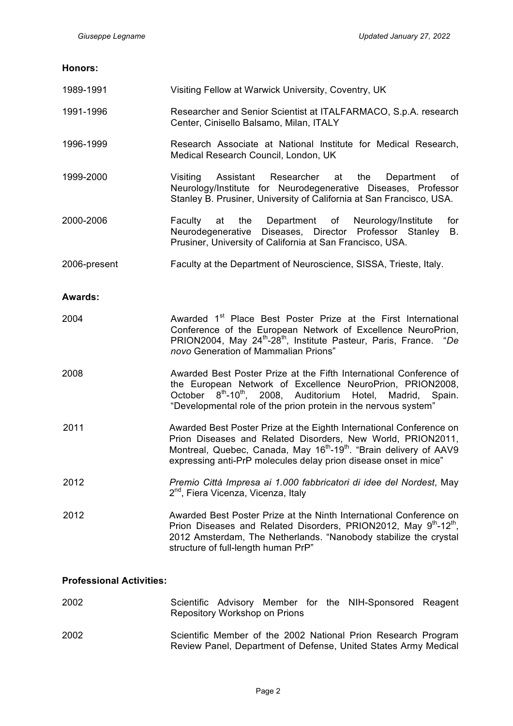#### **Honors:**

| 1989-1991      | Visiting Fellow at Warwick University, Coventry, UK                                                                                                                                                                                                                                                  |  |  |
|----------------|------------------------------------------------------------------------------------------------------------------------------------------------------------------------------------------------------------------------------------------------------------------------------------------------------|--|--|
| 1991-1996      | Researcher and Senior Scientist at ITALFARMACO, S.p.A. research<br>Center, Cinisello Balsamo, Milan, ITALY                                                                                                                                                                                           |  |  |
| 1996-1999      | Research Associate at National Institute for Medical Research,<br>Medical Research Council, London, UK                                                                                                                                                                                               |  |  |
| 1999-2000      | Assistant<br>Researcher<br>the<br>Visiting<br>at<br>Department<br>οf<br>Neurology/Institute for Neurodegenerative Diseases, Professor<br>Stanley B. Prusiner, University of California at San Francisco, USA.                                                                                        |  |  |
| 2000-2006      | the Department of Neurology/Institute<br>Faculty<br>at<br>for<br>Neurodegenerative Diseases, Director Professor Stanley<br>В.<br>Prusiner, University of California at San Francisco, USA.                                                                                                           |  |  |
| 2006-present   | Faculty at the Department of Neuroscience, SISSA, Trieste, Italy.                                                                                                                                                                                                                                    |  |  |
| <b>Awards:</b> |                                                                                                                                                                                                                                                                                                      |  |  |
| 2004           | Awarded 1 <sup>st</sup> Place Best Poster Prize at the First International<br>Conference of the European Network of Excellence NeuroPrion,<br>PRION2004, May 24 <sup>th</sup> -28 <sup>th</sup> , Institute Pasteur, Paris, France. "De<br>novo Generation of Mammalian Prions"                      |  |  |
| 2008           | Awarded Best Poster Prize at the Fifth International Conference of<br>the European Network of Excellence NeuroPrion, PRION2008,<br>October 8 <sup>th</sup> -10 <sup>th</sup> , 2008, Auditorium Hotel,<br>Madrid, Spain.<br>"Developmental role of the prion protein in the nervous system"          |  |  |
| 2011           | Awarded Best Poster Prize at the Eighth International Conference on<br>Prion Diseases and Related Disorders, New World, PRION2011,<br>Montreal, Quebec, Canada, May 16 <sup>th</sup> -19 <sup>th</sup> . "Brain delivery of AAV9<br>expressing anti-PrP molecules delay prion disease onset in mice" |  |  |
| 2012           | Premio Città Impresa ai 1.000 fabbricatori di idee del Nordest, May<br>2 <sup>nd</sup> , Fiera Vicenza, Vicenza, Italy                                                                                                                                                                               |  |  |
| 2012           | Awarded Best Poster Prize at the Ninth International Conference on<br>Prion Diseases and Related Disorders, PRION2012, May 9th-12th,<br>2012 Amsterdam, The Netherlands. "Nanobody stabilize the crystal<br>structure of full-length human PrP"                                                      |  |  |

# **Professional Activities:**

| 2002 | Repository Workshop on Prions |  |  | Scientific Advisory Member for the NIH-Sponsored Reagent                                                                         |  |
|------|-------------------------------|--|--|----------------------------------------------------------------------------------------------------------------------------------|--|
| 2002 |                               |  |  | Scientific Member of the 2002 National Prion Research Program<br>Review Panel, Department of Defense, United States Army Medical |  |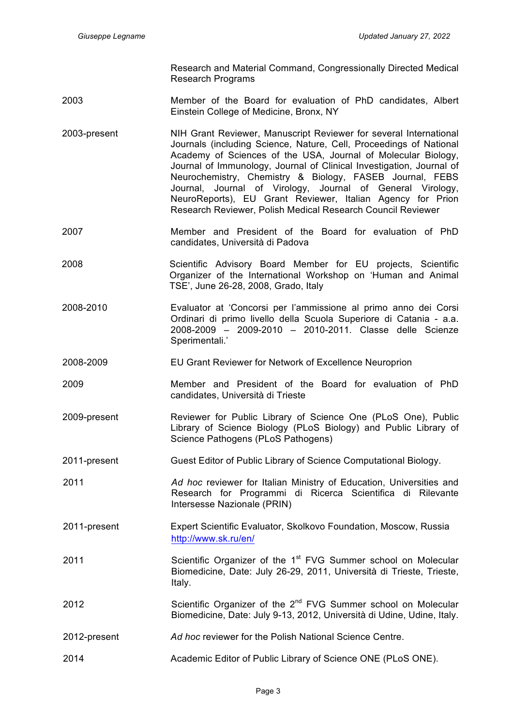Research and Material Command, Congressionally Directed Medical Research Programs

- 2003 Member of the Board for evaluation of PhD candidates, Albert Einstein College of Medicine, Bronx, NY
- 2003-present NIH Grant Reviewer, Manuscript Reviewer for several International Journals (including Science, Nature, Cell, Proceedings of National Academy of Sciences of the USA, Journal of Molecular Biology, Journal of Immunology, Journal of Clinical Investigation, Journal of Neurochemistry, Chemistry & Biology, FASEB Journal, FEBS Journal, Journal of Virology, Journal of General Virology, NeuroReports), EU Grant Reviewer, Italian Agency for Prion Research Reviewer, Polish Medical Research Council Reviewer
- 2007 Member and President of the Board for evaluation of PhD candidates, Università di Padova
- 2008 Scientific Advisory Board Member for EU projects, Scientific Organizer of the International Workshop on 'Human and Animal TSE', June 26-28, 2008, Grado, Italy
- 2008-2010 Evaluator at 'Concorsi per l'ammissione al primo anno dei Corsi Ordinari di primo livello della Scuola Superiore di Catania - a.a. 2008-2009 – 2009-2010 – 2010-2011. Classe delle Scienze Sperimentali.'
- 2008-2009 EU Grant Reviewer for Network of Excellence Neuroprion
- 2009 Member and President of the Board for evaluation of PhD candidates, Università di Trieste
- 2009-present Reviewer for Public Library of Science One (PLoS One), Public Library of Science Biology (PLoS Biology) and Public Library of Science Pathogens (PLoS Pathogens)
- 2011-present Guest Editor of Public Library of Science Computational Biology.
- 2011 *Ad hoc* reviewer for Italian Ministry of Education, Universities and Research for Programmi di Ricerca Scientifica di Rilevante Intersesse Nazionale (PRIN)
- 2011-present Expert Scientific Evaluator, Skolkovo Foundation, Moscow, Russia http://www.sk.ru/en/
- 2011 Scientific Organizer of the  $1<sup>st</sup>$  FVG Summer school on Molecular Biomedicine, Date: July 26-29, 2011, Università di Trieste, Trieste, Italy.
- 2012 Scientific Organizer of the  $2^{nd}$  FVG Summer school on Molecular Biomedicine, Date: July 9-13, 2012, Università di Udine, Udine, Italy.
- 2012-present *Ad hoc* reviewer for the Polish National Science Centre.
- 2014 Academic Editor of Public Library of Science ONE (PLoS ONE).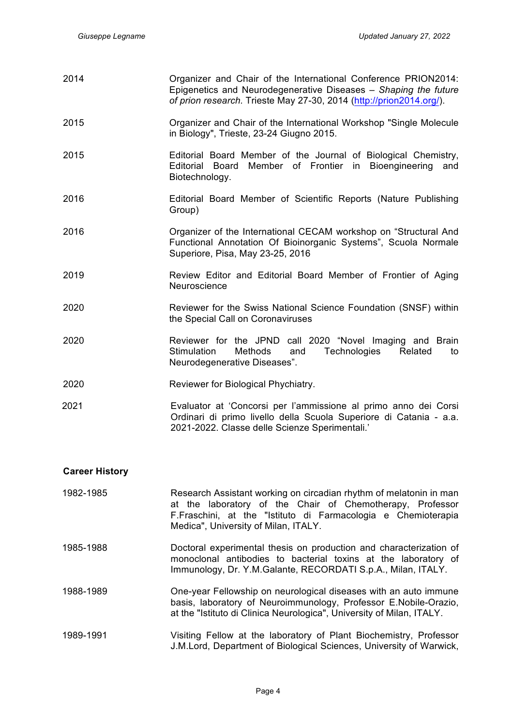| 2014 | Organizer and Chair of the International Conference PRION2014:<br>Epigenetics and Neurodegenerative Diseases - Shaping the future<br>of prion research. Trieste May 27-30, 2014 (http://prion2014.org/). |  |  |
|------|----------------------------------------------------------------------------------------------------------------------------------------------------------------------------------------------------------|--|--|
| 2015 | Organizer and Chair of the International Workshop "Single Molecule"<br>in Biology", Trieste, 23-24 Giugno 2015.                                                                                          |  |  |
| 2015 | Editorial Board Member of the Journal of Biological Chemistry,<br>Member of Frontier in Bioengineering<br>Editorial Board<br>and<br>Biotechnology.                                                       |  |  |
| 2016 | Editorial Board Member of Scientific Reports (Nature Publishing<br>Group)                                                                                                                                |  |  |
| 2016 | Organizer of the International CECAM workshop on "Structural And<br>Functional Annotation Of Bioinorganic Systems", Scuola Normale<br>Superiore, Pisa, May 23-25, 2016                                   |  |  |
| 2019 | Review Editor and Editorial Board Member of Frontier of Aging<br>Neuroscience                                                                                                                            |  |  |
| 2020 | Reviewer for the Swiss National Science Foundation (SNSF) within<br>the Special Call on Coronaviruses                                                                                                    |  |  |
| 2020 | Reviewer for the JPND call 2020 "Novel Imaging and Brain<br>Stimulation<br>Methods<br>Technologies<br>Related<br>and<br>to<br>Neurodegenerative Diseases".                                               |  |  |
| 2020 | Reviewer for Biological Phychiatry.                                                                                                                                                                      |  |  |
| 2021 | Evaluator at 'Concorsi per l'ammissione al primo anno dei Corsi<br>Ordinari di primo livello della Scuola Superiore di Catania - a.a.<br>2021-2022. Classe delle Scienze Sperimentali.'                  |  |  |

| 1982-1985 | Research Assistant working on circadian rhythm of melatonin in man<br>at the laboratory of the Chair of Chemotherapy, Professor<br>F.Fraschini, at the "Istituto di Farmacologia e Chemioterapia<br>Medica", University of Milan, ITALY. |
|-----------|------------------------------------------------------------------------------------------------------------------------------------------------------------------------------------------------------------------------------------------|
| 1985-1988 | Doctoral experimental thesis on production and characterization of<br>monoclonal antibodies to bacterial toxins at the laboratory of<br>Immunology, Dr. Y.M.Galante, RECORDATI S.p.A., Milan, ITALY.                                     |
| 1988-1989 | One-year Fellowship on neurological diseases with an auto immune<br>basis, laboratory of Neuroimmunology, Professor E.Nobile-Orazio,                                                                                                     |

at the "Istituto di Clinica Neurologica", University of Milan, ITALY. 1989-1991 Visiting Fellow at the laboratory of Plant Biochemistry, Professor J.M.Lord, Department of Biological Sciences, University of Warwick,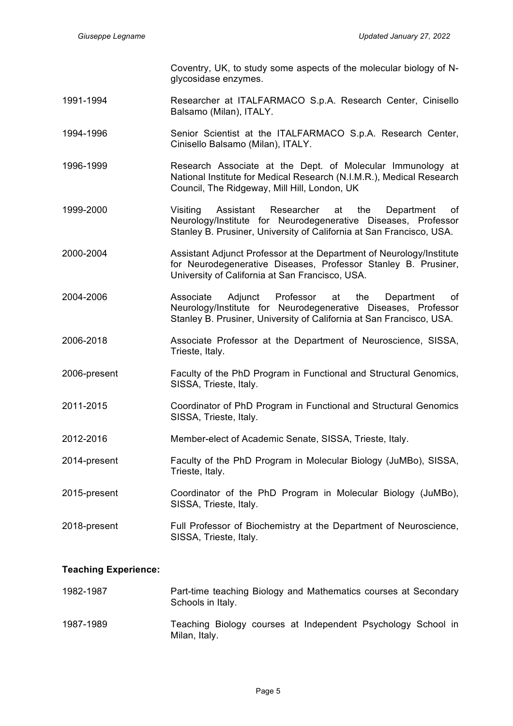Coventry, UK, to study some aspects of the molecular biology of Nglycosidase enzymes.

- 1991-1994 Researcher at ITALFARMACO S.p.A. Research Center, Cinisello Balsamo (Milan), ITALY.
- 1994-1996 Senior Scientist at the ITALFARMACO S.p.A. Research Center, Cinisello Balsamo (Milan), ITALY.
- 1996-1999 Research Associate at the Dept. of Molecular Immunology at National Institute for Medical Research (N.I.M.R.), Medical Research Council, The Ridgeway, Mill Hill, London, UK
- 1999-2000 Visiting Assistant Researcher at the Department of Neurology/Institute for Neurodegenerative Diseases, Professor Stanley B. Prusiner, University of California at San Francisco, USA.
- 2000-2004 Assistant Adjunct Professor at the Department of Neurology/Institute for Neurodegenerative Diseases, Professor Stanley B. Prusiner, University of California at San Francisco, USA.
- 2004-2006 Associate Adjunct Professor at the Department of Neurology/Institute for Neurodegenerative Diseases, Professor Stanley B. Prusiner, University of California at San Francisco, USA.
- 2006-2018 Associate Professor at the Department of Neuroscience, SISSA, Trieste, Italy.
- 2006-present Faculty of the PhD Program in Functional and Structural Genomics, SISSA, Trieste, Italy.
- 2011-2015 Coordinator of PhD Program in Functional and Structural Genomics SISSA, Trieste, Italy.
- 2012-2016 Member-elect of Academic Senate, SISSA, Trieste, Italy.
- 2014-present Faculty of the PhD Program in Molecular Biology (JuMBo), SISSA, Trieste, Italy.
- 2015-present Coordinator of the PhD Program in Molecular Biology (JuMBo), SISSA, Trieste, Italy.
- 2018-present Full Professor of Biochemistry at the Department of Neuroscience, SISSA, Trieste, Italy.

#### **Teaching Experience:**

| 1982-1987 | Part-time teaching Biology and Mathematics courses at Secondary<br>Schools in Italy. |
|-----------|--------------------------------------------------------------------------------------|
| 1987-1989 | Teaching Biology courses at Independent Psychology School in<br>Milan, Italy.        |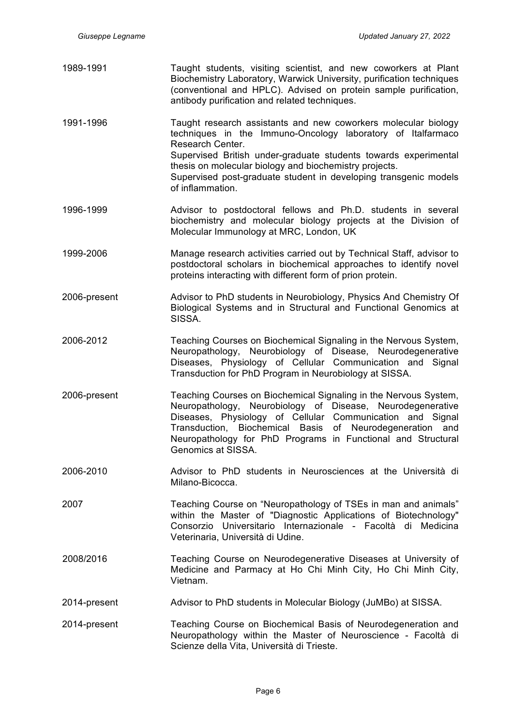1989-1991 Taught students, visiting scientist, and new coworkers at Plant Biochemistry Laboratory, Warwick University, purification techniques (conventional and HPLC). Advised on protein sample purification, antibody purification and related techniques.

1991-1996 Taught research assistants and new coworkers molecular biology techniques in the Immuno-Oncology laboratory of Italfarmaco Research Center. Supervised British under-graduate students towards experimental thesis on molecular biology and biochemistry projects. Supervised post-graduate student in developing transgenic models of inflammation.

- 1996-1999 Advisor to postdoctoral fellows and Ph.D. students in several biochemistry and molecular biology projects at the Division of Molecular Immunology at MRC, London, UK
- 1999-2006 Manage research activities carried out by Technical Staff, advisor to postdoctoral scholars in biochemical approaches to identify novel proteins interacting with different form of prion protein.
- 2006-present Advisor to PhD students in Neurobiology, Physics And Chemistry Of Biological Systems and in Structural and Functional Genomics at SISSA.
- 2006-2012 Teaching Courses on Biochemical Signaling in the Nervous System, Neuropathology, Neurobiology of Disease, Neurodegenerative Diseases, Physiology of Cellular Communication and Signal Transduction for PhD Program in Neurobiology at SISSA.
- 2006-present Teaching Courses on Biochemical Signaling in the Nervous System, Neuropathology, Neurobiology of Disease, Neurodegenerative Diseases, Physiology of Cellular Communication and Signal Transduction, Biochemical Basis of Neurodegeneration and Neuropathology for PhD Programs in Functional and Structural Genomics at SISSA.
- 2006-2010 Advisor to PhD students in Neurosciences at the Università di Milano-Bicocca.
- 2007 Teaching Course on "Neuropathology of TSEs in man and animals" within the Master of "Diagnostic Applications of Biotechnology" Consorzio Universitario Internazionale - Facoltà di Medicina Veterinaria, Università di Udine.
- 2008/2016 Teaching Course on Neurodegenerative Diseases at University of Medicine and Parmacy at Ho Chi Minh City, Ho Chi Minh City, Vietnam.
- 2014-present Advisor to PhD students in Molecular Biology (JuMBo) at SISSA.
- 2014-present Teaching Course on Biochemical Basis of Neurodegeneration and Neuropathology within the Master of Neuroscience - Facoltà di Scienze della Vita, Università di Trieste.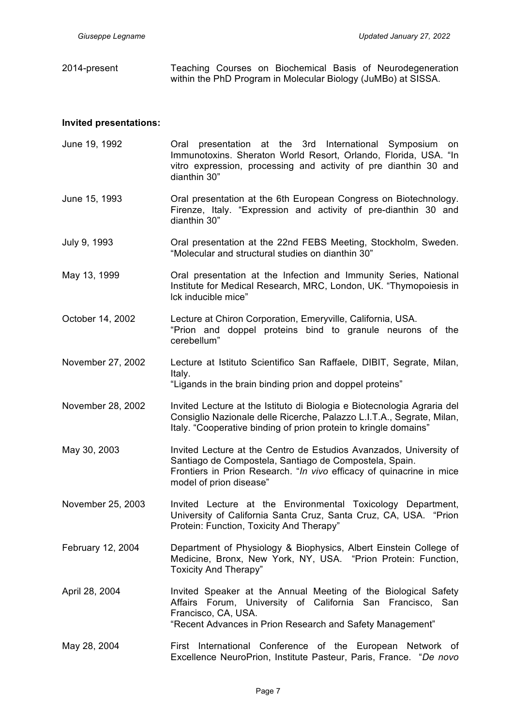2014-present Teaching Courses on Biochemical Basis of Neurodegeneration within the PhD Program in Molecular Biology (JuMBo) at SISSA.

## **Invited presentations:**

June 19, 1992 Oral presentation at the 3rd International Symposium on Immunotoxins. Sheraton World Resort, Orlando, Florida, USA. "In vitro expression, processing and activity of pre dianthin 30 and dianthin 30" June 15, 1993 Oral presentation at the 6th European Congress on Biotechnology. Firenze, Italy. "Expression and activity of pre-dianthin 30 and dianthin 30" July 9, 1993 Oral presentation at the 22nd FEBS Meeting, Stockholm, Sweden. "Molecular and structural studies on dianthin 30" May 13, 1999 Oral presentation at the Infection and Immunity Series, National Institute for Medical Research, MRC, London, UK. "Thymopoiesis in lck inducible mice" October 14, 2002 Lecture at Chiron Corporation, Emeryville, California, USA. "Prion and doppel proteins bind to granule neurons of the cerebellum" November 27, 2002 Lecture at Istituto Scientifico San Raffaele, DIBIT, Segrate, Milan, Italy. "Ligands in the brain binding prion and doppel proteins" November 28, 2002 Invited Lecture at the Istituto di Biologia e Biotecnologia Agraria del Consiglio Nazionale delle Ricerche, Palazzo L.I.T.A., Segrate, Milan, Italy. "Cooperative binding of prion protein to kringle domains" May 30, 2003 Invited Lecture at the Centro de Estudios Avanzados, University of Santiago de Compostela, Santiago de Compostela, Spain. Frontiers in Prion Research. "*In vivo* efficacy of quinacrine in mice model of prion disease" November 25, 2003 Invited Lecture at the Environmental Toxicology Department, University of California Santa Cruz, Santa Cruz, CA, USA. "Prion Protein: Function, Toxicity And Therapy" February 12, 2004 Department of Physiology & Biophysics, Albert Einstein College of Medicine, Bronx, New York, NY, USA. "Prion Protein: Function, Toxicity And Therapy" April 28, 2004 Invited Speaker at the Annual Meeting of the Biological Safety Affairs Forum, University of California San Francisco, San Francisco, CA, USA. "Recent Advances in Prion Research and Safety Management" May 28, 2004 First International Conference of the European Network of Excellence NeuroPrion, Institute Pasteur, Paris, France. "*De novo*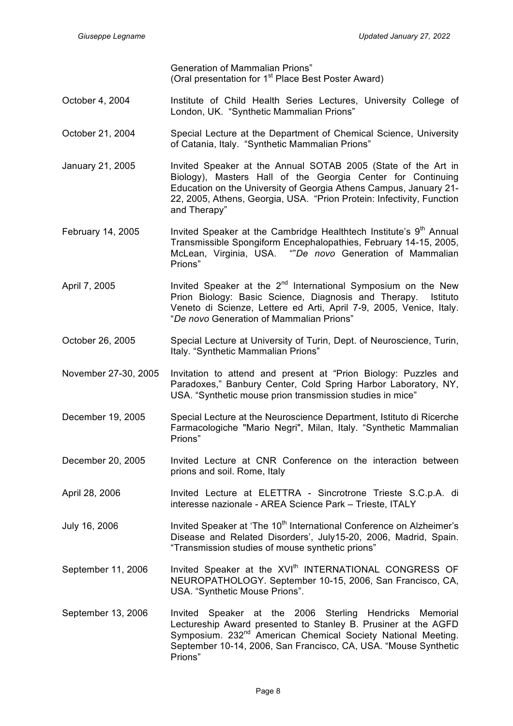Generation of Mammalian Prions" (Oral presentation for 1<sup>st</sup> Place Best Poster Award)

- October 4, 2004 Institute of Child Health Series Lectures, University College of London, UK. "Synthetic Mammalian Prions"
- October 21, 2004 Special Lecture at the Department of Chemical Science, University of Catania, Italy. "Synthetic Mammalian Prions"
- January 21, 2005 Invited Speaker at the Annual SOTAB 2005 (State of the Art in Biology), Masters Hall of the Georgia Center for Continuing Education on the University of Georgia Athens Campus, January 21- 22, 2005, Athens, Georgia, USA. "Prion Protein: Infectivity, Function and Therapy"
- February 14, 2005 Invited Speaker at the Cambridge Healthtech Institute's  $9<sup>th</sup>$  Annual Transmissible Spongiform Encephalopathies, February 14-15, 2005, McLean, Virginia, USA. ""*De novo* Generation of Mammalian Prions"
- April 7, 2005 Invited Speaker at the  $2^{nd}$  International Symposium on the New Prion Biology: Basic Science, Diagnosis and Therapy. Istituto Veneto di Scienze, Lettere ed Arti, April 7-9, 2005, Venice, Italy. "*De novo* Generation of Mammalian Prions"
- October 26, 2005 Special Lecture at University of Turin, Dept. of Neuroscience, Turin, Italy. "Synthetic Mammalian Prions"
- November 27-30, 2005 Invitation to attend and present at "Prion Biology: Puzzles and Paradoxes," Banbury Center, Cold Spring Harbor Laboratory, NY, USA. "Synthetic mouse prion transmission studies in mice"
- December 19, 2005 Special Lecture at the Neuroscience Department, Istituto di Ricerche Farmacologiche "Mario Negri", Milan, Italy. "Synthetic Mammalian Prions"
- December 20, 2005 Invited Lecture at CNR Conference on the interaction between prions and soil. Rome, Italy
- April 28, 2006 Invited Lecture at ELETTRA Sincrotrone Trieste S.C.p.A. di interesse nazionale - AREA Science Park – Trieste, ITALY
- July 16, 2006 Invited Speaker at 'The 10<sup>th</sup> International Conference on Alzheimer's Disease and Related Disorders', July15-20, 2006, Madrid, Spain. "Transmission studies of mouse synthetic prions"
- September 11, 2006 Invited Speaker at the XVI<sup>th</sup> INTERNATIONAL CONGRESS OF NEUROPATHOLOGY. September 10-15, 2006, San Francisco, CA, USA. "Synthetic Mouse Prions".
- September 13, 2006 Invited Speaker at the 2006 Sterling Hendricks Memorial Lectureship Award presented to Stanley B. Prusiner at the AGFD Symposium. 232<sup>nd</sup> American Chemical Society National Meeting. September 10-14, 2006, San Francisco, CA, USA. "Mouse Synthetic Prions"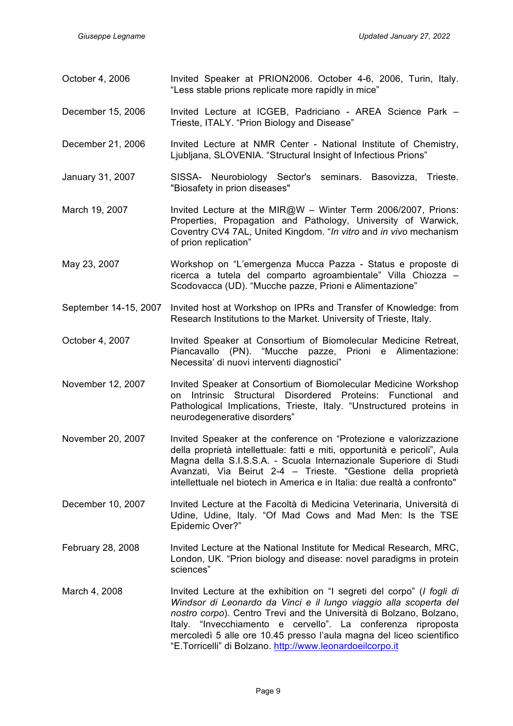| October 4, 2006       | Invited Speaker at PRION2006. October 4-6, 2006, Turin, Italy.<br>"Less stable prions replicate more rapidly in mice"                                                                                                                                                                                                                                                                                                           |  |  |
|-----------------------|---------------------------------------------------------------------------------------------------------------------------------------------------------------------------------------------------------------------------------------------------------------------------------------------------------------------------------------------------------------------------------------------------------------------------------|--|--|
| December 15, 2006     | Invited Lecture at ICGEB, Padriciano - AREA Science Park -<br>Trieste, ITALY. "Prion Biology and Disease"                                                                                                                                                                                                                                                                                                                       |  |  |
| December 21, 2006     | Invited Lecture at NMR Center - National Institute of Chemistry,<br>Ljubljana, SLOVENIA. "Structural Insight of Infectious Prions"                                                                                                                                                                                                                                                                                              |  |  |
| January 31, 2007      | SISSA- Neurobiology Sector's seminars. Basovizza,<br>Trieste.<br>"Biosafety in prion diseases"                                                                                                                                                                                                                                                                                                                                  |  |  |
| March 19, 2007        | Invited Lecture at the MIR@W - Winter Term 2006/2007, Prions:<br>Properties, Propagation and Pathology, University of Warwick,<br>Coventry CV4 7AL, United Kingdom. "In vitro and in vivo mechanism<br>of prion replication"                                                                                                                                                                                                    |  |  |
| May 23, 2007          | Workshop on "L'emergenza Mucca Pazza - Status e proposte di<br>ricerca a tutela del comparto agroambientale" Villa Chiozza -<br>Scodovacca (UD). "Mucche pazze, Prioni e Alimentazione"                                                                                                                                                                                                                                         |  |  |
| September 14-15, 2007 | Invited host at Workshop on IPRs and Transfer of Knowledge: from<br>Research Institutions to the Market. University of Trieste, Italy.                                                                                                                                                                                                                                                                                          |  |  |
| October 4, 2007       | Invited Speaker at Consortium of Biomolecular Medicine Retreat,<br>Piancavallo (PN). "Mucche pazze, Prioni e Alimentazione:<br>Necessita' di nuovi interventi diagnostici"                                                                                                                                                                                                                                                      |  |  |
| November 12, 2007     | Invited Speaker at Consortium of Biomolecular Medicine Workshop<br>Disordered<br>Structural<br>Proteins:<br>and<br>Intrinsic<br>Functional<br>on<br>Pathological Implications, Trieste, Italy. "Unstructured proteins in<br>neurodegenerative disorders"                                                                                                                                                                        |  |  |
| November 20, 2007     | Invited Speaker at the conference on "Protezione e valorizzazione<br>della proprietà intellettuale: fatti e miti, opportunità e pericoli", Aula<br>Magna della S.I.S.S.A. - Scuola Internazionale Superiore di Studi<br>Avanzati, Via Beirut 2-4 - Trieste. "Gestione della proprietà<br>intellettuale nel biotech in America e in Italia: due realtà a confronto"                                                              |  |  |
| December 10, 2007     | Invited Lecture at the Facoltà di Medicina Veterinaria, Università di<br>Udine, Udine, Italy. "Of Mad Cows and Mad Men: Is the TSE<br>Epidemic Over?"                                                                                                                                                                                                                                                                           |  |  |
| February 28, 2008     | Invited Lecture at the National Institute for Medical Research, MRC,<br>London, UK. "Prion biology and disease: novel paradigms in protein<br>sciences"                                                                                                                                                                                                                                                                         |  |  |
| March 4, 2008         | Invited Lecture at the exhibition on "I segreti del corpo" ( <i>I fogli di</i><br>Windsor di Leonardo da Vinci e il lungo viaggio alla scoperta del<br>nostro corpo). Centro Trevi and the Università di Bolzano, Bolzano,<br>Italy. "Invecchiamento e cervello". La conferenza riproposta<br>mercoledì 5 alle ore 10.45 presso l'aula magna del liceo scientifico<br>"E.Torricelli" di Bolzano. http://www.leonardoeilcorpo.it |  |  |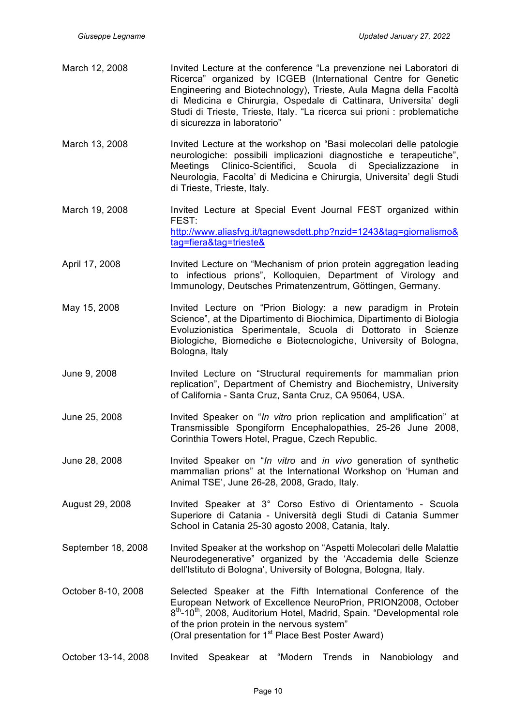- March 12, 2008 Invited Lecture at the conference "La prevenzione nei Laboratori di Ricerca" organized by ICGEB (International Centre for Genetic Engineering and Biotechnology), Trieste, Aula Magna della Facoltà di Medicina e Chirurgia, Ospedale di Cattinara, Universita' degli Studi di Trieste, Trieste, Italy. "La ricerca sui prioni : problematiche di sicurezza in laboratorio"
- March 13, 2008 Invited Lecture at the workshop on "Basi molecolari delle patologie neurologiche: possibili implicazioni diagnostiche e terapeutiche", Meetings Clinico-Scientifici, Scuola di Specializzazione in Neurologia, Facolta' di Medicina e Chirurgia, Universita' degli Studi di Trieste, Trieste, Italy.
- March 19, 2008 Invited Lecture at Special Event Journal FEST organized within FEST: http://www.aliasfvg.it/tagnewsdett.php?nzid=1243&tag=giornalismo& tag=fiera&tag=trieste&
- April 17, 2008 Invited Lecture on "Mechanism of prion protein aggregation leading to infectious prions", Kolloquien, Department of Virology and Immunology, Deutsches Primatenzentrum, Göttingen, Germany.
- May 15, 2008 Invited Lecture on "Prion Biology: a new paradigm in Protein Science", at the Dipartimento di Biochimica, Dipartimento di Biologia Evoluzionistica Sperimentale, Scuola di Dottorato in Scienze Biologiche, Biomediche e Biotecnologiche, University of Bologna, Bologna, Italy
- June 9, 2008 Invited Lecture on "Structural requirements for mammalian prion replication", Department of Chemistry and Biochemistry, University of California - Santa Cruz, Santa Cruz, CA 95064, USA.
- June 25, 2008 Invited Speaker on "*In vitro* prion replication and amplification" at Transmissible Spongiform Encephalopathies, 25-26 June 2008, Corinthia Towers Hotel, Prague, Czech Republic.
- June 28, 2008 Invited Speaker on "*In vitro* and *in vivo* generation of synthetic mammalian prions" at the International Workshop on 'Human and Animal TSE', June 26-28, 2008, Grado, Italy.
- August 29, 2008 Invited Speaker at 3° Corso Estivo di Orientamento Scuola Superiore di Catania - Università degli Studi di Catania Summer School in Catania 25-30 agosto 2008, Catania, Italy.
- September 18, 2008 Invited Speaker at the workshop on "Aspetti Molecolari delle Malattie Neurodegenerative" organized by the 'Accademia delle Scienze dell'Istituto di Bologna', University of Bologna, Bologna, Italy.
- October 8-10, 2008 Selected Speaker at the Fifth International Conference of the European Network of Excellence NeuroPrion, PRION2008, October 8<sup>th</sup>-10<sup>th</sup>, 2008, Auditorium Hotel, Madrid, Spain. "Developmental role of the prion protein in the nervous system" (Oral presentation for 1<sup>st</sup> Place Best Poster Award)
- October 13-14, 2008 Invited Speakear at "Modern Trends in Nanobiology and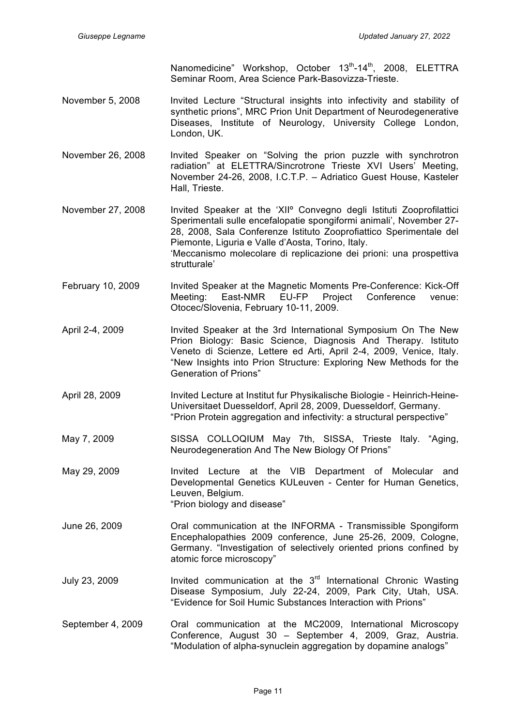Nanomedicine" Workshop, October 13<sup>th</sup>-14<sup>th</sup>, 2008, ELETTRA Seminar Room, Area Science Park-Basovizza-Trieste.

- November 5, 2008 Invited Lecture "Structural insights into infectivity and stability of synthetic prions", MRC Prion Unit Department of Neurodegenerative Diseases, Institute of Neurology, University College London, London, UK.
- November 26, 2008 Invited Speaker on "Solving the prion puzzle with synchrotron radiation" at ELETTRA/Sincrotrone Trieste XVI Users' Meeting, November 24-26, 2008, I.C.T.P. – Adriatico Guest House, Kasteler Hall, Trieste.
- November 27, 2008 Invited Speaker at the 'XII<sup>o</sup> Convegno degli Istituti Zooprofilattici Sperimentali sulle encefalopatie spongiformi animali', November 27- 28, 2008, Sala Conferenze Istituto Zooprofiattico Sperimentale del Piemonte, Liguria e Valle d'Aosta, Torino, Italy. 'Meccanismo molecolare di replicazione dei prioni: una prospettiva strutturale'
- February 10, 2009 Invited Speaker at the Magnetic Moments Pre-Conference: Kick-Off Meeting: East-NMR EU-FP Project Conference venue: Otocec/Slovenia, February 10-11, 2009.
- April 2-4, 2009 Invited Speaker at the 3rd International Symposium On The New Prion Biology: Basic Science, Diagnosis And Therapy. Istituto Veneto di Scienze, Lettere ed Arti, April 2-4, 2009, Venice, Italy. "New Insights into Prion Structure: Exploring New Methods for the Generation of Prions"
- April 28, 2009 Invited Lecture at Institut fur Physikalische Biologie Heinrich-Heine-Universitaet Duesseldorf, April 28, 2009, Duesseldorf, Germany. "Prion Protein aggregation and infectivity: a structural perspective"
- May 7, 2009 SISSA COLLOQIUM May 7th, SISSA, Trieste Italy. "Aging, Neurodegeneration And The New Biology Of Prions"

May 29, 2009 **Invited Lecture at the VIB Department of Molecular and** Developmental Genetics KULeuven - Center for Human Genetics, Leuven, Belgium. "Prion biology and disease"

- June 26, 2009 Oral communication at the INFORMA Transmissible Spongiform Encephalopathies 2009 conference, June 25-26, 2009, Cologne, Germany. "Investigation of selectively oriented prions confined by atomic force microscopy"
- July 23, 2009 Invited communication at the 3<sup>rd</sup> International Chronic Wasting Disease Symposium, July 22-24, 2009, Park City, Utah, USA. "Evidence for Soil Humic Substances Interaction with Prions"
- September 4, 2009 Oral communication at the MC2009, International Microscopy Conference, August 30 – September 4, 2009, Graz, Austria. "Modulation of alpha-synuclein aggregation by dopamine analogs"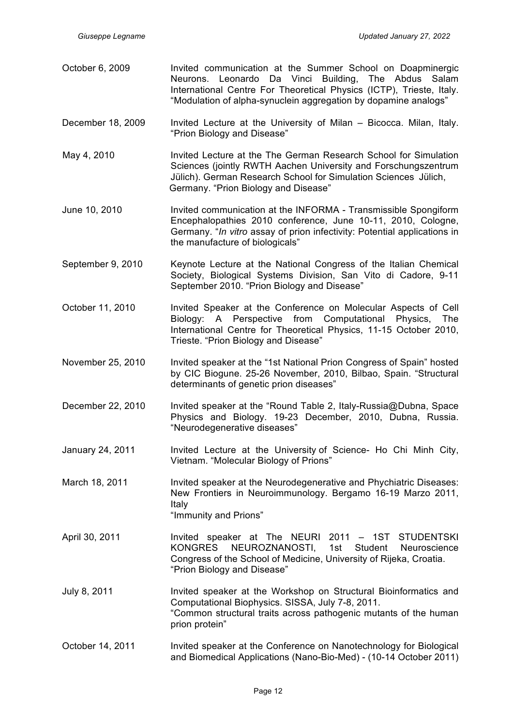- October 6, 2009 Invited communication at the Summer School on Doapminergic Neurons. Leonardo Da Vinci Building, The Abdus Salam International Centre For Theoretical Physics (ICTP), Trieste, Italy. "Modulation of alpha-synuclein aggregation by dopamine analogs" December 18, 2009 Invited Lecture at the University of Milan – Bicocca. Milan, Italy. "Prion Biology and Disease" May 4, 2010 Invited Lecture at the The German Research School for Simulation Sciences (jointly RWTH Aachen University and Forschungszentrum Jülich). German Research School for Simulation Sciences Jülich, Germany. "Prion Biology and Disease" June 10, 2010 Invited communication at the INFORMA - Transmissible Spongiform Encephalopathies 2010 conference, June 10-11, 2010, Cologne, Germany. "*In vitro* assay of prion infectivity: Potential applications in the manufacture of biologicals" September 9, 2010 Keynote Lecture at the National Congress of the Italian Chemical Society, Biological Systems Division, San Vito di Cadore, 9-11 September 2010. "Prion Biology and Disease" October 11, 2010 Invited Speaker at the Conference on Molecular Aspects of Cell Biology: A Perspective from Computational Physics, The International Centre for Theoretical Physics, 11-15 October 2010, Trieste. "Prion Biology and Disease" November 25, 2010 Invited speaker at the "1st National Prion Congress of Spain" hosted by CIC Biogune. 25-26 November, 2010, Bilbao, Spain. "Structural determinants of genetic prion diseases" December 22, 2010 Invited speaker at the "Round Table 2, Italy-Russia@Dubna, Space Physics and Biology. 19-23 December, 2010, Dubna, Russia. "Neurodegenerative diseases" January 24, 2011 Invited Lecture at the University of Science- Ho Chi Minh City, Vietnam. "Molecular Biology of Prions" March 18, 2011 Invited speaker at the Neurodegenerative and Phychiatric Diseases: New Frontiers in Neuroimmunology. Bergamo 16-19 Marzo 2011, Italy "Immunity and Prions" April 30, 2011 **Invited speaker at The NEURI 2011 - 1ST STUDENTSKI** KONGRES NEUROZNANOSTI, 1st Student Neuroscience
- July 8, 2011 Invited speaker at the Workshop on Structural Bioinformatics and Computational Biophysics. SISSA, July 7-8, 2011. "Common structural traits across pathogenic mutants of the human prion protein"

"Prion Biology and Disease"

Congress of the School of Medicine, University of Rijeka, Croatia.

October 14, 2011 Invited speaker at the Conference on Nanotechnology for Biological and Biomedical Applications (Nano-Bio-Med) - (10-14 October 2011)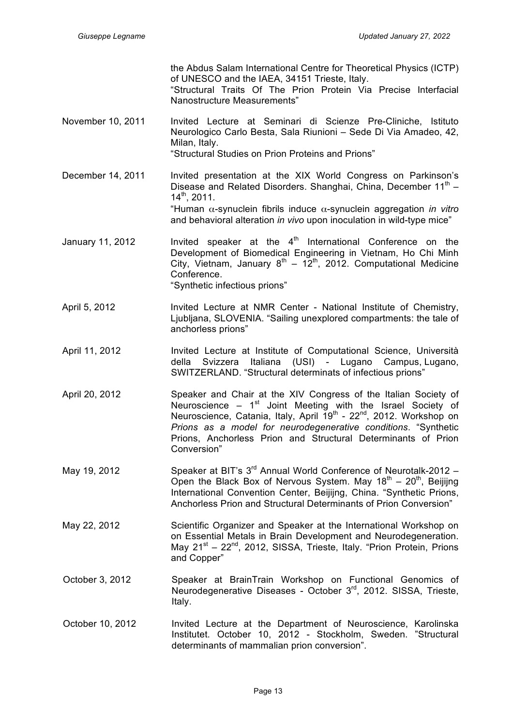the Abdus Salam International Centre for Theoretical Physics (ICTP) of UNESCO and the IAEA, 34151 Trieste, Italy.

"Structural Traits Of The Prion Protein Via Precise Interfacial Nanostructure Measurements"

- November 10, 2011 Invited Lecture at Seminari di Scienze Pre-Cliniche, Istituto Neurologico Carlo Besta, Sala Riunioni – Sede Di Via Amadeo, 42, Milan, Italy. "Structural Studies on Prion Proteins and Prions"
- December 14, 2011 Invited presentation at the XIX World Congress on Parkinson's Disease and Related Disorders. Shanghai, China, December 11<sup>th</sup> –  $14^{\text{th}}$ , 2011. "Human α-synuclein fibrils induce α-synuclein aggregation *in vitro* and behavioral alteration *in vivo* upon inoculation in wild-type mice"
- January 11, 2012 Invited speaker at the  $4<sup>th</sup>$  International Conference on the Development of Biomedical Engineering in Vietnam, Ho Chi Minh City, Vietnam, January  $8^{th} - 12^{th}$ , 2012. Computational Medicine Conference. "Synthetic infectious prions"
- April 5, 2012 Invited Lecture at NMR Center National Institute of Chemistry, Ljubljana, SLOVENIA. "Sailing unexplored compartments: the tale of anchorless prions"
- April 11, 2012 Invited Lecture at Institute of Computational Science, Università della Svizzera Italiana (USI) - Lugano Campus, Lugano, SWITZERLAND. "Structural determinats of infectious prions"
- April 20, 2012 Speaker and Chair at the XIV Congress of the Italian Society of Neuroscience –  $1<sup>st</sup>$  Joint Meeting with the Israel Society of Neuroscience, Catania, Italy, April 19<sup>th</sup> - 22<sup>nd</sup>, 2012. Workshop on *Prions as a model for neurodegenerative conditions*. "Synthetic Prions, Anchorless Prion and Structural Determinants of Prion Conversion"
- May 19, 2012 Speaker at BIT's 3<sup>rd</sup> Annual World Conference of Neurotalk-2012 -Open the Black Box of Nervous System. May  $18<sup>th</sup> - 20<sup>th</sup>$ , Beijijng International Convention Center, Beijijng, China. "Synthetic Prions, Anchorless Prion and Structural Determinants of Prion Conversion"
- May 22, 2012 Scientific Organizer and Speaker at the International Workshop on on Essential Metals in Brain Development and Neurodegeneration. May 21<sup>st</sup> – 22<sup>nd</sup>, 2012, SISSA, Trieste, Italy. "Prion Protein, Prions and Copper"
- October 3, 2012 Speaker at BrainTrain Workshop on Functional Genomics of Neurodegenerative Diseases - October 3rd, 2012. SISSA, Trieste, Italy.
- October 10, 2012 Invited Lecture at the Department of Neuroscience, Karolinska Institutet. October 10, 2012 - Stockholm, Sweden. "Structural determinants of mammalian prion conversion".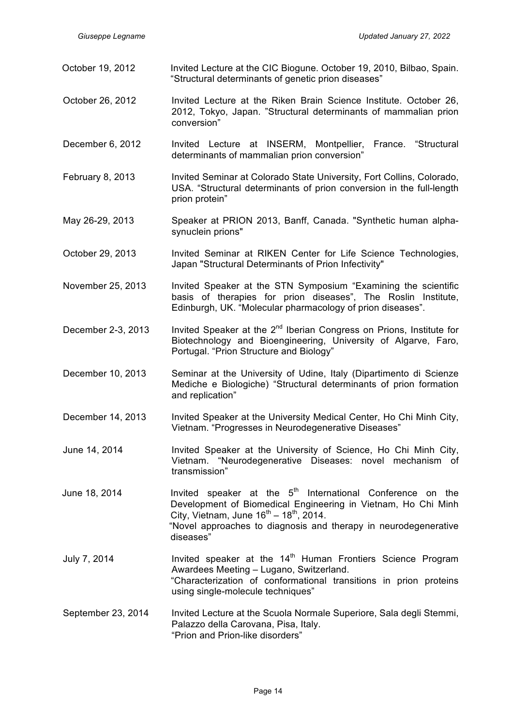| October 19, 2012   | Invited Lecture at the CIC Biogune. October 19, 2010, Bilbao, Spain.<br>"Structural determinants of genetic prion diseases"                                                                                                                                                |  |  |
|--------------------|----------------------------------------------------------------------------------------------------------------------------------------------------------------------------------------------------------------------------------------------------------------------------|--|--|
| October 26, 2012   | Invited Lecture at the Riken Brain Science Institute. October 26,<br>2012, Tokyo, Japan. "Structural determinants of mammalian prion<br>conversion"                                                                                                                        |  |  |
| December 6, 2012   | Invited Lecture at INSERM, Montpellier, France. "Structural<br>determinants of mammalian prion conversion"                                                                                                                                                                 |  |  |
| February 8, 2013   | Invited Seminar at Colorado State University, Fort Collins, Colorado,<br>USA. "Structural determinants of prion conversion in the full-length<br>prion protein"                                                                                                            |  |  |
| May 26-29, 2013    | Speaker at PRION 2013, Banff, Canada. "Synthetic human alpha-<br>synuclein prions"                                                                                                                                                                                         |  |  |
| October 29, 2013   | Invited Seminar at RIKEN Center for Life Science Technologies,<br>Japan "Structural Determinants of Prion Infectivity"                                                                                                                                                     |  |  |
| November 25, 2013  | Invited Speaker at the STN Symposium "Examining the scientific<br>basis of therapies for prion diseases", The Roslin Institute,<br>Edinburgh, UK. "Molecular pharmacology of prion diseases".                                                                              |  |  |
| December 2-3, 2013 | Invited Speaker at the 2 <sup>nd</sup> Iberian Congress on Prions, Institute for<br>Biotechnology and Bioengineering, University of Algarve, Faro,<br>Portugal. "Prion Structure and Biology"                                                                              |  |  |
| December 10, 2013  | Seminar at the University of Udine, Italy (Dipartimento di Scienze<br>Mediche e Biologiche) "Structural determinants of prion formation<br>and replication"                                                                                                                |  |  |
| December 14, 2013  | Invited Speaker at the University Medical Center, Ho Chi Minh City,<br>Vietnam. "Progresses in Neurodegenerative Diseases"                                                                                                                                                 |  |  |
| June 14, 2014      | Invited Speaker at the University of Science, Ho Chi Minh City,<br>Vietnam. "Neurodegenerative Diseases: novel mechanism of<br>transmission"                                                                                                                               |  |  |
| June 18, 2014      | Invited speaker at the 5 <sup>th</sup> International Conference on the<br>Development of Biomedical Engineering in Vietnam, Ho Chi Minh<br>City, Vietnam, June $16^{th} - 18^{th}$ , 2014.<br>"Novel approaches to diagnosis and therapy in neurodegenerative<br>diseases" |  |  |
| July 7, 2014       | Invited speaker at the 14 <sup>th</sup> Human Frontiers Science Program<br>Awardees Meeting - Lugano, Switzerland.<br>"Characterization of conformational transitions in prion proteins<br>using single-molecule techniques"                                               |  |  |
| September 23, 2014 | Invited Lecture at the Scuola Normale Superiore, Sala degli Stemmi,<br>Palazzo della Carovana, Pisa, Italy.<br>"Prion and Prion-like disorders"                                                                                                                            |  |  |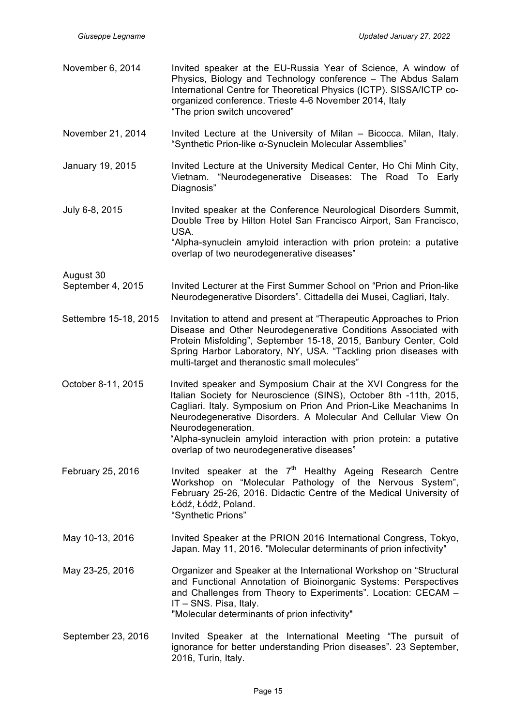| November 6, 2014               | Invited speaker at the EU-Russia Year of Science, A window of<br>Physics, Biology and Technology conference - The Abdus Salam<br>International Centre for Theoretical Physics (ICTP). SISSA/ICTP co-<br>organized conference. Trieste 4-6 November 2014, Italy<br>"The prion switch uncovered"                                                                                                                       |
|--------------------------------|----------------------------------------------------------------------------------------------------------------------------------------------------------------------------------------------------------------------------------------------------------------------------------------------------------------------------------------------------------------------------------------------------------------------|
| November 21, 2014              | Invited Lecture at the University of Milan - Bicocca. Milan, Italy.<br>"Synthetic Prion-like α-Synuclein Molecular Assemblies"                                                                                                                                                                                                                                                                                       |
| January 19, 2015               | Invited Lecture at the University Medical Center, Ho Chi Minh City,<br>Vietnam. "Neurodegenerative Diseases: The Road To Early<br>Diagnosis"                                                                                                                                                                                                                                                                         |
| July 6-8, 2015                 | Invited speaker at the Conference Neurological Disorders Summit,<br>Double Tree by Hilton Hotel San Francisco Airport, San Francisco,<br>USA.<br>"Alpha-synuclein amyloid interaction with prion protein: a putative<br>overlap of two neurodegenerative diseases"                                                                                                                                                   |
| August 30<br>September 4, 2015 | Invited Lecturer at the First Summer School on "Prion and Prion-like<br>Neurodegenerative Disorders". Cittadella dei Musei, Cagliari, Italy.                                                                                                                                                                                                                                                                         |
| Settembre 15-18, 2015          | Invitation to attend and present at "Therapeutic Approaches to Prion<br>Disease and Other Neurodegenerative Conditions Associated with<br>Protein Misfolding", September 15-18, 2015, Banbury Center, Cold<br>Spring Harbor Laboratory, NY, USA. "Tackling prion diseases with<br>multi-target and theranostic small molecules"                                                                                      |
| October 8-11, 2015             | Invited speaker and Symposium Chair at the XVI Congress for the<br>Italian Society for Neuroscience (SINS), October 8th -11th, 2015,<br>Cagliari. Italy. Symposium on Prion And Prion-Like Meachanims In<br>Neurodegenerative Disorders. A Molecular And Cellular View On<br>Neurodegeneration.<br>"Alpha-synuclein amyloid interaction with prion protein: a putative<br>overlap of two neurodegenerative diseases" |
| February 25, 2016              | Invited speaker at the 7 <sup>th</sup> Healthy Ageing Research Centre<br>Workshop on "Molecular Pathology of the Nervous System",<br>February 25-26, 2016. Didactic Centre of the Medical University of<br>Łódź, Łódź, Poland.<br>"Synthetic Prions"                                                                                                                                                                 |
| May 10-13, 2016                | Invited Speaker at the PRION 2016 International Congress, Tokyo,<br>Japan. May 11, 2016. "Molecular determinants of prion infectivity"                                                                                                                                                                                                                                                                               |
| May 23-25, 2016                | Organizer and Speaker at the International Workshop on "Structural<br>and Functional Annotation of Bioinorganic Systems: Perspectives<br>and Challenges from Theory to Experiments". Location: CECAM -<br>IT - SNS. Pisa, Italy.<br>"Molecular determinants of prion infectivity"                                                                                                                                    |
| September 23, 2016             | Invited Speaker at the International Meeting "The pursuit of<br>ignorance for better understanding Prion diseases". 23 September,<br>2016, Turin, Italy.                                                                                                                                                                                                                                                             |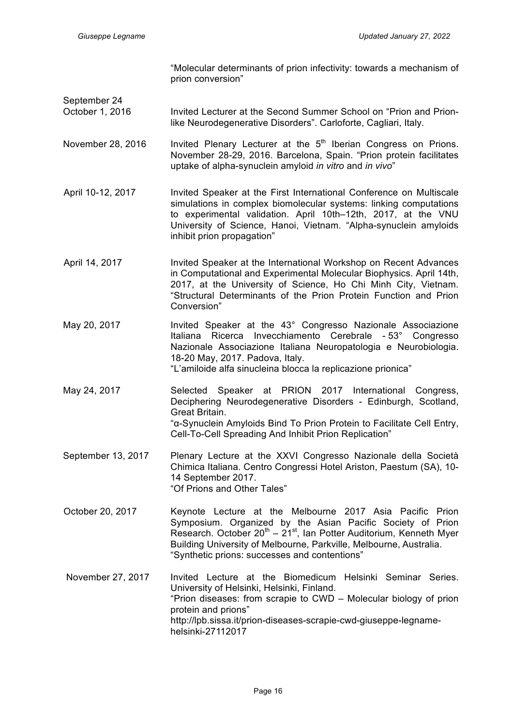"Molecular determinants of prion infectivity: towards a mechanism of prion conversion"

September 24

October 1, 2016 Invited Lecturer at the Second Summer School on "Prion and Prionlike Neurodegenerative Disorders". Carloforte, Cagliari, Italy.

November 28, 2016 Invited Plenary Lecturer at the  $5<sup>th</sup>$  Iberian Congress on Prions. November 28-29, 2016. Barcelona, Spain. "Prion protein facilitates uptake of alpha-synuclein amyloid *in vitro* and *in vivo*"

April 10-12, 2017 Invited Speaker at the First International Conference on Multiscale simulations in complex biomolecular systems: linking computations to experimental validation. April 10th–12th, 2017, at the VNU University of Science, Hanoi, Vietnam. "Alpha-synuclein amyloids inhibit prion propagation"

- April 14, 2017 **Invited Speaker at the International Workshop on Recent Advances** in Computational and Experimental Molecular Biophysics. April 14th, 2017, at the University of Science, Ho Chi Minh City, Vietnam. "Structural Determinants of the Prion Protein Function and Prion Conversion"
- May 20, 2017 **Invited Speaker at the 43° Congresso Nazionale Associazione** Italiana Ricerca Invecchiamento Cerebrale - 53° Congresso Nazionale Associazione Italiana Neuropatologia e Neurobiologia. 18-20 May, 2017. Padova, Italy. "L'amiloide alfa sinucleina blocca la replicazione prionica"
- May 24, 2017 Selected Speaker at PRION 2017 International Congress, Deciphering Neurodegenerative Disorders - Edinburgh, Scotland, Great Britain. "α-Synuclein Amyloids Bind To Prion Protein to Facilitate Cell Entry, Cell-To-Cell Spreading And Inhibit Prion Replication"
- September 13, 2017 Plenary Lecture at the XXVI Congresso Nazionale della Società Chimica Italiana. Centro Congressi Hotel Ariston, Paestum (SA), 10- 14 September 2017. "Of Prions and Other Tales"
- October 20, 2017 Keynote Lecture at the Melbourne 2017 Asia Pacific Prion Symposium. Organized by the Asian Pacific Society of Prion Research. October  $20^{th} - 21^{st}$ , Ian Potter Auditorium, Kenneth Myer Building University of Melbourne, Parkville, Melbourne, Australia. "Synthetic prions: successes and contentions"
- November 27, 2017 Invited Lecture at the Biomedicum Helsinki Seminar Series. University of Helsinki, Helsinki, Finland. "Prion diseases: from scrapie to CWD – Molecular biology of prion protein and prions" http://lpb.sissa.it/prion-diseases-scrapie-cwd-giuseppe-legnamehelsinki-27112017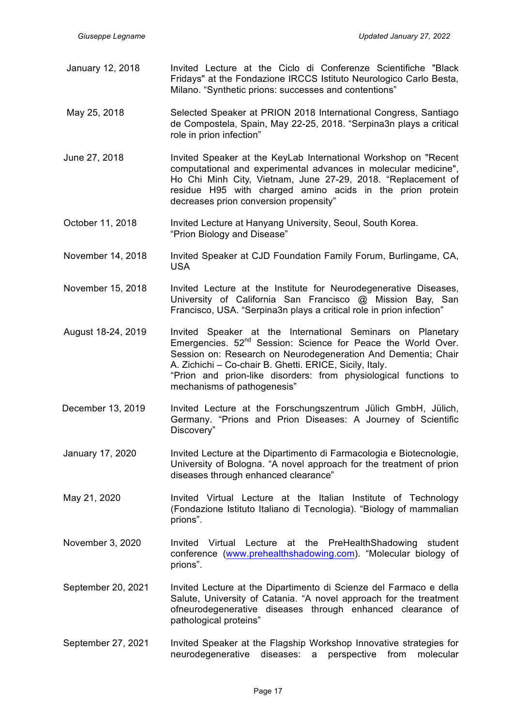- January 12, 2018 Invited Lecture at the Ciclo di Conferenze Scientifiche "Black Fridays" at the Fondazione IRCCS Istituto Neurologico Carlo Besta, Milano. "Synthetic prions: successes and contentions"
- May 25, 2018 Selected Speaker at PRION 2018 International Congress, Santiago de Compostela, Spain, May 22-25, 2018. "Serpina3n plays a critical role in prion infection"
- June 27, 2018 Invited Speaker at the KeyLab International Workshop on "Recent computational and experimental advances in molecular medicine", Ho Chi Minh City, Vietnam, June 27-29, 2018. "Replacement of residue H95 with charged amino acids in the prion protein decreases prion conversion propensity"
- October 11, 2018 Invited Lecture at Hanyang University, Seoul, South Korea. "Prion Biology and Disease"
- November 14, 2018 Invited Speaker at CJD Foundation Family Forum, Burlingame, CA, USA
- November 15, 2018 Invited Lecture at the Institute for Neurodegenerative Diseases, University of California San Francisco @ Mission Bay, San Francisco, USA. "Serpina3n plays a critical role in prion infection"
- August 18-24, 2019 Invited Speaker at the International Seminars on Planetary Emergencies. 52<sup>nd</sup> Session: Science for Peace the World Over. Session on: Research on Neurodegeneration And Dementia; Chair A. Zichichi – Co-chair B. Ghetti. ERICE, Sicily, Italy. "Prion and prion-like disorders: from physiological functions to mechanisms of pathogenesis"
- December 13, 2019 Invited Lecture at the Forschungszentrum Jülich GmbH, Jülich, Germany. "Prions and Prion Diseases: A Journey of Scientific Discovery"
- January 17, 2020 Invited Lecture at the Dipartimento di Farmacologia e Biotecnologie, University of Bologna. "A novel approach for the treatment of prion diseases through enhanced clearance"
- May 21, 2020 **Invited Virtual Lecture at the Italian Institute of Technology** (Fondazione Istituto Italiano di Tecnologia). "Biology of mammalian prions".
- November 3, 2020 Invited Virtual Lecture at the PreHealthShadowing student conference (www.prehealthshadowing.com). "Molecular biology of prions".
- September 20, 2021 Invited Lecture at the Dipartimento di Scienze del Farmaco e della Salute, University of Catania. "A novel approach for the treatment ofneurodegenerative diseases through enhanced clearance of pathological proteins"
- September 27, 2021 Invited Speaker at the Flagship Workshop Innovative strategies for neurodegenerative diseases: a perspective from molecular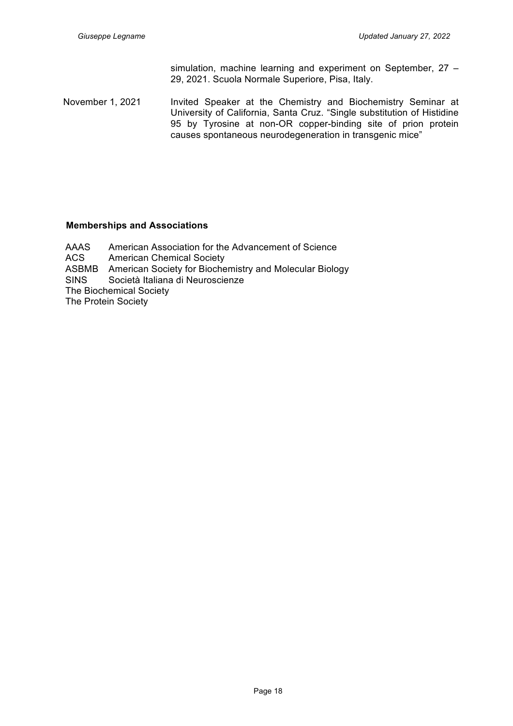simulation, machine learning and experiment on September, 27 – 29, 2021. Scuola Normale Superiore, Pisa, Italy.

November 1, 2021 Invited Speaker at the Chemistry and Biochemistry Seminar at University of California, Santa Cruz. "Single substitution of Histidine 95 by Tyrosine at non-OR copper-binding site of prion protein causes spontaneous neurodegeneration in transgenic mice"

## **Memberships and Associations**

AAAS American Association for the Advancement of Science ACS American Chemical Society ASBMB American Society for Biochemistry and Molecular Biology SINS Società Italiana di Neuroscienze The Biochemical Society The Protein Society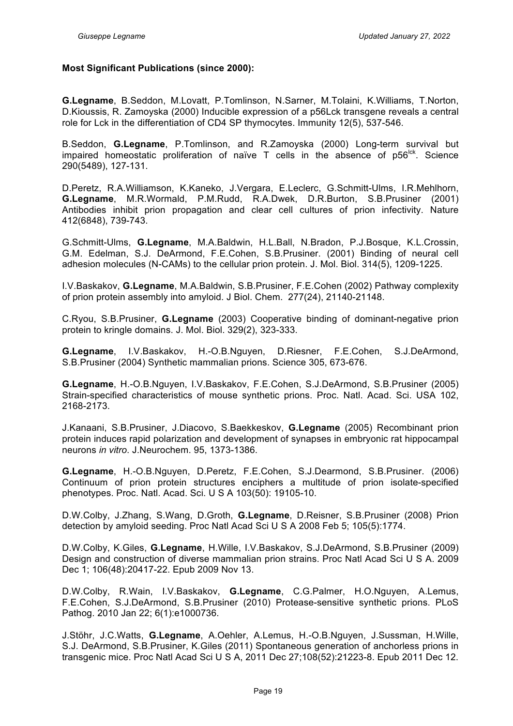#### **Most Significant Publications (since 2000):**

**G.Legname**, B.Seddon, M.Lovatt, P.Tomlinson, N.Sarner, M.Tolaini, K.Williams, T.Norton, D.Kioussis, R. Zamoyska (2000) Inducible expression of a p56Lck transgene reveals a central role for Lck in the differentiation of CD4 SP thymocytes. Immunity 12(5), 537-546.

B.Seddon, **G.Legname**, P.Tomlinson, and R.Zamoyska (2000) Long-term survival but impaired homeostatic proliferation of naïve  $T$  cells in the absence of  $p56<sup>lck</sup>$ . Science 290(5489), 127-131.

D.Peretz, R.A.Williamson, K.Kaneko, J.Vergara, E.Leclerc, G.Schmitt-Ulms, I.R.Mehlhorn, **G.Legname**, M.R.Wormald, P.M.Rudd, R.A.Dwek, D.R.Burton, S.B.Prusiner (2001) Antibodies inhibit prion propagation and clear cell cultures of prion infectivity. Nature 412(6848), 739-743.

G.Schmitt-Ulms, **G.Legname**, M.A.Baldwin, H.L.Ball, N.Bradon, P.J.Bosque, K.L.Crossin, G.M. Edelman, S.J. DeArmond, F.E.Cohen, S.B.Prusiner. (2001) Binding of neural cell adhesion molecules (N-CAMs) to the cellular prion protein. J. Mol. Biol. 314(5), 1209-1225.

I.V.Baskakov, **G.Legname**, M.A.Baldwin, S.B.Prusiner, F.E.Cohen (2002) Pathway complexity of prion protein assembly into amyloid. J Biol. Chem. 277(24), 21140-21148.

C.Ryou, S.B.Prusiner, **G.Legname** (2003) Cooperative binding of dominant-negative prion protein to kringle domains. J. Mol. Biol. 329(2), 323-333.

**G.Legname**, I.V.Baskakov, H.-O.B.Nguyen, D.Riesner, F.E.Cohen, S.J.DeArmond, S.B.Prusiner (2004) Synthetic mammalian prions. Science 305, 673-676.

**G.Legname**, H.-O.B.Nguyen, I.V.Baskakov, F.E.Cohen, S.J.DeArmond, S.B.Prusiner (2005) Strain-specified characteristics of mouse synthetic prions. Proc. Natl. Acad. Sci. USA 102, 2168-2173.

J.Kanaani, S.B.Prusiner, J.Diacovo, S.Baekkeskov, **G.Legname** (2005) Recombinant prion protein induces rapid polarization and development of synapses in embryonic rat hippocampal neurons *in vitro*. J.Neurochem. 95, 1373-1386.

**G.Legname**, H.-O.B.Nguyen, D.Peretz, F.E.Cohen, S.J.Dearmond, S.B.Prusiner. (2006) Continuum of prion protein structures enciphers a multitude of prion isolate-specified phenotypes. Proc. Natl. Acad. Sci. U S A 103(50): 19105-10.

D.W.Colby, J.Zhang, S.Wang, D.Groth, **G.Legname**, D.Reisner, S.B.Prusiner (2008) Prion detection by amyloid seeding. Proc Natl Acad Sci U S A 2008 Feb 5; 105(5):1774.

D.W.Colby, K.Giles, **G.Legname**, H.Wille, I.V.Baskakov, S.J.DeArmond, S.B.Prusiner (2009) Design and construction of diverse mammalian prion strains. Proc Natl Acad Sci U S A. 2009 Dec 1; 106(48):20417-22. Epub 2009 Nov 13.

D.W.Colby, R.Wain, I.V.Baskakov, **G.Legname**, C.G.Palmer, H.O.Nguyen, A.Lemus, F.E.Cohen, S.J.DeArmond, S.B.Prusiner (2010) Protease-sensitive synthetic prions. PLoS Pathog. 2010 Jan 22; 6(1):e1000736.

J.Stöhr, J.C.Watts, **G.Legname**, A.Oehler, A.Lemus, H.-O.B.Nguyen, J.Sussman, H.Wille, S.J. DeArmond, S.B.Prusiner, K.Giles (2011) Spontaneous generation of anchorless prions in transgenic mice. Proc Natl Acad Sci U S A, 2011 Dec 27;108(52):21223-8. Epub 2011 Dec 12.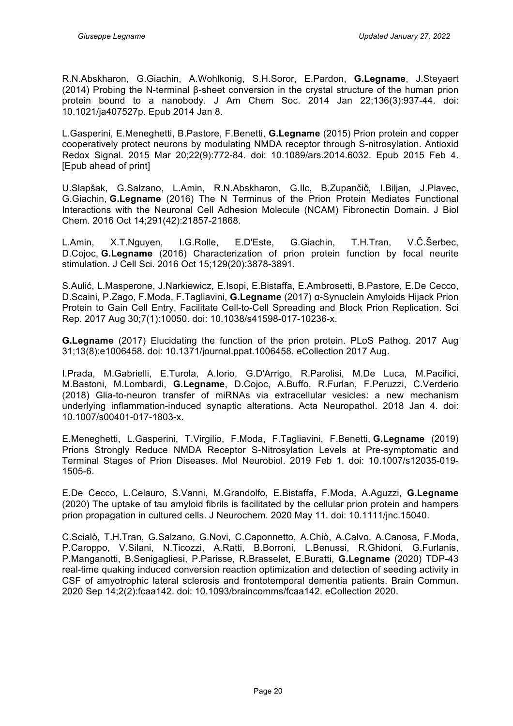R.N.Abskharon, G.Giachin, A.Wohlkonig, S.H.Soror, E.Pardon, **G.Legname**, J.Steyaert (2014) Probing the N-terminal β-sheet conversion in the crystal structure of the human prion protein bound to a nanobody. J Am Chem Soc. 2014 Jan 22;136(3):937-44. doi: 10.1021/ja407527p. Epub 2014 Jan 8.

L.Gasperini, E.Meneghetti, B.Pastore, F.Benetti, **G.Legname** (2015) Prion protein and copper cooperatively protect neurons by modulating NMDA receptor through S-nitrosylation. Antioxid Redox Signal. 2015 Mar 20;22(9):772-84. doi: 10.1089/ars.2014.6032. Epub 2015 Feb 4. [Epub ahead of print]

U.Slapšak, G.Salzano, L.Amin, R.N.Abskharon, G.Ilc, B.Zupančič, I.Biljan, J.Plavec, G.Giachin, **G.Legname** (2016) The N Terminus of the Prion Protein Mediates Functional Interactions with the Neuronal Cell Adhesion Molecule (NCAM) Fibronectin Domain. J Biol Chem. 2016 Oct 14;291(42):21857-21868.

L.Amin, X.T.Nguyen, I.G.Rolle, E.D'Este, G.Giachin, T.H.Tran, V.Č.Šerbec, D.Cojoc, **G.Legname** (2016) Characterization of prion protein function by focal neurite stimulation. J Cell Sci. 2016 Oct 15;129(20):3878-3891.

S.Aulić, L.Masperone, J.Narkiewicz, E.Isopi, E.Bistaffa, E.Ambrosetti, B.Pastore, E.De Cecco, D.Scaini, P.Zago, F.Moda, F.Tagliavini, **G.Legname** (2017) α-Synuclein Amyloids Hijack Prion Protein to Gain Cell Entry, Facilitate Cell-to-Cell Spreading and Block Prion Replication. Sci Rep. 2017 Aug 30;7(1):10050. doi: 10.1038/s41598-017-10236-x.

**G.Legname** (2017) Elucidating the function of the prion protein. PLoS Pathog. 2017 Aug 31;13(8):e1006458. doi: 10.1371/journal.ppat.1006458. eCollection 2017 Aug.

I.Prada, M.Gabrielli, E.Turola, A.Iorio, G.D'Arrigo, R.Parolisi, M.De Luca, M.Pacifici, M.Bastoni, M.Lombardi, **G.Legname**, D.Cojoc, A.Buffo, R.Furlan, F.Peruzzi, C.Verderio (2018) Glia-to-neuron transfer of miRNAs via extracellular vesicles: a new mechanism underlying inflammation-induced synaptic alterations. Acta Neuropathol. 2018 Jan 4. doi: 10.1007/s00401-017-1803-x.

E.Meneghetti, L.Gasperini, T.Virgilio, F.Moda, F.Tagliavini, F.Benetti, **G.Legname** (2019) Prions Strongly Reduce NMDA Receptor S-Nitrosylation Levels at Pre-symptomatic and Terminal Stages of Prion Diseases. Mol Neurobiol. 2019 Feb 1. doi: 10.1007/s12035-019- 1505-6.

E.De Cecco, L.Celauro, S.Vanni, M.Grandolfo, E.Bistaffa, F.Moda, A.Aguzzi, **G.Legname** (2020) The uptake of tau amyloid fibrils is facilitated by the cellular prion protein and hampers prion propagation in cultured cells. J Neurochem. 2020 May 11. doi: 10.1111/jnc.15040.

C.Scialò, T.H.Tran, G.Salzano, G.Novi, C.Caponnetto, A.Chiò, A.Calvo, A.Canosa, F.Moda, P.Caroppo, V.Silani, N.Ticozzi, A.Ratti, B.Borroni, L.Benussi, R.Ghidoni, G.Furlanis, P.Manganotti, B.Senigagliesi, P.Parisse, R.Brasselet, E.Buratti, **G.Legname** (2020) TDP-43 real-time quaking induced conversion reaction optimization and detection of seeding activity in CSF of amyotrophic lateral sclerosis and frontotemporal dementia patients. Brain Commun. 2020 Sep 14;2(2):fcaa142. doi: 10.1093/braincomms/fcaa142. eCollection 2020.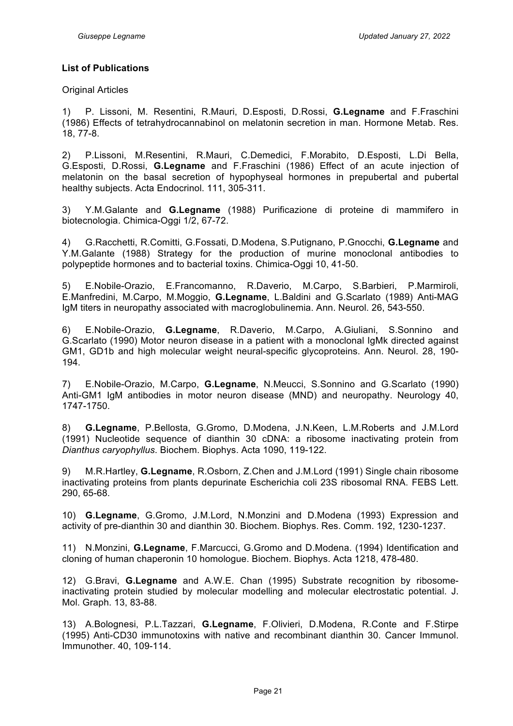#### **List of Publications**

Original Articles

1) P. Lissoni, M. Resentini, R.Mauri, D.Esposti, D.Rossi, **G.Legname** and F.Fraschini (1986) Effects of tetrahydrocannabinol on melatonin secretion in man. Hormone Metab. Res. 18, 77-8.

2) P.Lissoni, M.Resentini, R.Mauri, C.Demedici, F.Morabito, D.Esposti, L.Di Bella, G.Esposti, D.Rossi, **G.Legname** and F.Fraschini (1986) Effect of an acute injection of melatonin on the basal secretion of hypophyseal hormones in prepubertal and pubertal healthy subjects. Acta Endocrinol. 111, 305-311.

3) Y.M.Galante and **G.Legname** (1988) Purificazione di proteine di mammifero in biotecnologia. Chimica-Oggi 1/2, 67-72.

4) G.Racchetti, R.Comitti, G.Fossati, D.Modena, S.Putignano, P.Gnocchi, **G.Legname** and Y.M.Galante (1988) Strategy for the production of murine monoclonal antibodies to polypeptide hormones and to bacterial toxins. Chimica-Oggi 10, 41-50.

5) E.Nobile-Orazio, E.Francomanno, R.Daverio, M.Carpo, S.Barbieri, P.Marmiroli, E.Manfredini, M.Carpo, M.Moggio, **G.Legname**, L.Baldini and G.Scarlato (1989) Anti-MAG IgM titers in neuropathy associated with macroglobulinemia. Ann. Neurol. 26, 543-550.

6) E.Nobile-Orazio, **G.Legname**, R.Daverio, M.Carpo, A.Giuliani, S.Sonnino and G.Scarlato (1990) Motor neuron disease in a patient with a monoclonal IgMk directed against GM1, GD1b and high molecular weight neural-specific glycoproteins. Ann. Neurol. 28, 190- 194.

7) E.Nobile-Orazio, M.Carpo, **G.Legname**, N.Meucci, S.Sonnino and G.Scarlato (1990) Anti-GM1 IgM antibodies in motor neuron disease (MND) and neuropathy. Neurology 40, 1747-1750.

8) **G.Legname**, P.Bellosta, G.Gromo, D.Modena, J.N.Keen, L.M.Roberts and J.M.Lord (1991) Nucleotide sequence of dianthin 30 cDNA: a ribosome inactivating protein from *Dianthus caryophyllus*. Biochem. Biophys. Acta 1090, 119-122.

9) M.R.Hartley, **G.Legname**, R.Osborn, Z.Chen and J.M.Lord (1991) Single chain ribosome inactivating proteins from plants depurinate Escherichia coli 23S ribosomal RNA. FEBS Lett. 290, 65-68.

10) **G.Legname**, G.Gromo, J.M.Lord, N.Monzini and D.Modena (1993) Expression and activity of pre-dianthin 30 and dianthin 30. Biochem. Biophys. Res. Comm. 192, 1230-1237.

11) N.Monzini, **G.Legname**, F.Marcucci, G.Gromo and D.Modena. (1994) Identification and cloning of human chaperonin 10 homologue. Biochem. Biophys. Acta 1218, 478-480.

12) G.Bravi, **G.Legname** and A.W.E. Chan (1995) Substrate recognition by ribosomeinactivating protein studied by molecular modelling and molecular electrostatic potential. J. Mol. Graph. 13, 83-88.

13) A.Bolognesi, P.L.Tazzari, **G.Legname**, F.Olivieri, D.Modena, R.Conte and F.Stirpe (1995) Anti-CD30 immunotoxins with native and recombinant dianthin 30. Cancer Immunol. Immunother. 40, 109-114.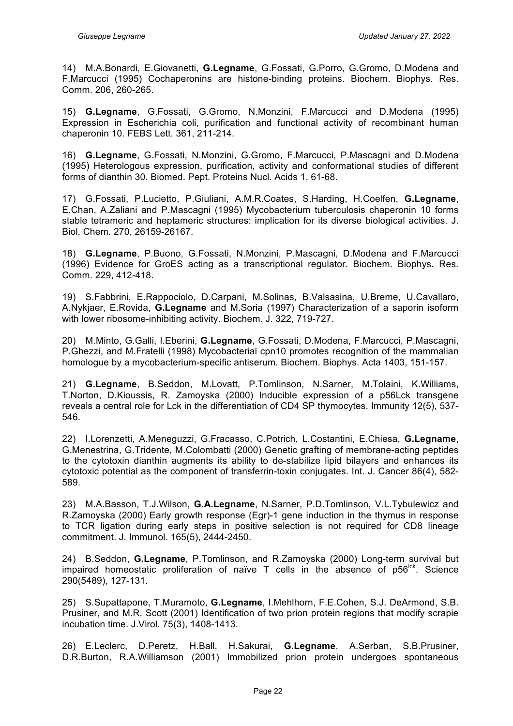14) M.A.Bonardi, E.Giovanetti, **G.Legname**, G.Fossati, G.Porro, G.Gromo, D.Modena and F.Marcucci (1995) Cochaperonins are histone-binding proteins. Biochem. Biophys. Res. Comm. 206, 260-265.

15) **G.Legname**, G.Fossati, G.Gromo, N.Monzini, F.Marcucci and D.Modena (1995) Expression in Escherichia coli, purification and functional activity of recombinant human chaperonin 10. FEBS Lett. 361, 211-214.

16) **G.Legname**, G.Fossati, N.Monzini, G.Gromo, F.Marcucci, P.Mascagni and D.Modena (1995) Heterologous expression, purification, activity and conformational studies of different forms of dianthin 30. Biomed. Pept. Proteins Nucl. Acids 1, 61-68.

17) G.Fossati, P.Lucietto, P.Giuliani, A.M.R.Coates, S.Harding, H.Coelfen, **G.Legname**, E.Chan, A.Zaliani and P.Mascagni (1995) Mycobacterium tuberculosis chaperonin 10 forms stable tetrameric and heptameric structures: implication for its diverse biological activities. J. Biol. Chem. 270, 26159-26167.

18) **G.Legname**, P.Buono, G.Fossati, N.Monzini, P.Mascagni, D.Modena and F.Marcucci (1996) Evidence for GroES acting as a transcriptional regulator. Biochem. Biophys. Res. Comm. 229, 412-418.

19) S.Fabbrini, E.Rappociolo, D.Carpani, M.Solinas, B.Valsasina, U.Breme, U.Cavallaro, A.Nykjaer, E.Rovida, **G.Legname** and M.Soria (1997) Characterization of a saporin isoform with lower ribosome-inhibiting activity. Biochem. J. 322, 719-727.

20) M.Minto, G.Galli, I.Eberini, **G.Legname**, G.Fossati, D.Modena, F.Marcucci, P.Mascagni, P.Ghezzi, and M.Fratelli (1998) Mycobacterial cpn10 promotes recognition of the mammalian homologue by a mycobacterium-specific antiserum. Biochem. Biophys. Acta 1403, 151-157.

21) **G.Legname**, B.Seddon, M.Lovatt, P.Tomlinson, N.Sarner, M.Tolaini, K.Williams, T.Norton, D.Kioussis, R. Zamoyska (2000) Inducible expression of a p56Lck transgene reveals a central role for Lck in the differentiation of CD4 SP thymocytes. Immunity 12(5), 537- 546.

22) I.Lorenzetti, A.Meneguzzi, G.Fracasso, C.Potrich, L.Costantini, E.Chiesa, **G.Legname**, G.Menestrina, G.Tridente, M.Colombatti (2000) Genetic grafting of membrane-acting peptides to the cytotoxin dianthin augments its ability to de-stabilize lipid bilayers and enhances its cytotoxic potential as the component of transferrin-toxin conjugates. Int. J. Cancer 86(4), 582- 589.

23) M.A.Basson, T.J.Wilson, **G.A.Legname**, N.Sarner, P.D.Tomlinson, V.L.Tybulewicz and R.Zamoyska (2000) Early growth response (Egr)-1 gene induction in the thymus in response to TCR ligation during early steps in positive selection is not required for CD8 lineage commitment. J. Immunol. 165(5), 2444-2450.

24) B.Seddon, **G.Legname**, P.Tomlinson, and R.Zamoyska (2000) Long-term survival but impaired homeostatic proliferation of naïve  $T$  cells in the absence of  $p56<sup>lck</sup>$ . Science 290(5489), 127-131.

25) S.Supattapone, T.Muramoto, **G.Legname**, I.Mehlhorn, F.E.Cohen, S.J. DeArmond, S.B. Prusiner, and M.R. Scott (2001) Identification of two prion protein regions that modify scrapie incubation time. J.Virol. 75(3), 1408-1413.

26) E.Leclerc, D.Peretz, H.Ball, H.Sakurai, **G.Legname**, A.Serban, S.B.Prusiner, D.R.Burton, R.A.Williamson (2001) Immobilized prion protein undergoes spontaneous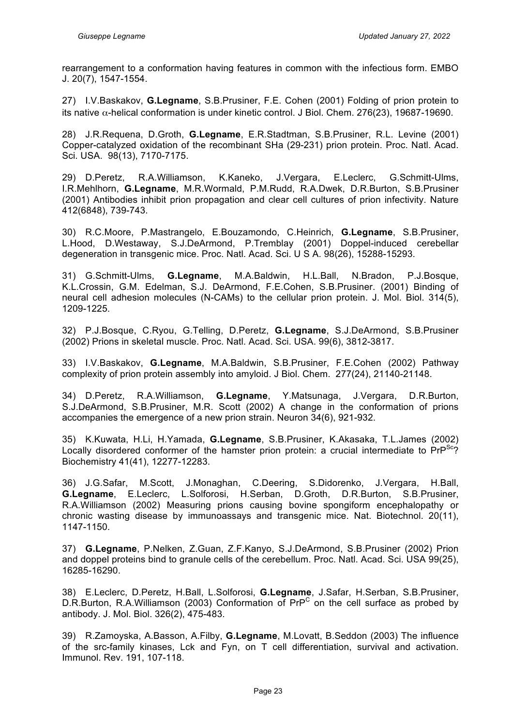rearrangement to a conformation having features in common with the infectious form. EMBO J. 20(7), 1547-1554.

27) I.V.Baskakov, **G.Legname**, S.B.Prusiner, F.E. Cohen (2001) Folding of prion protein to its native α-helical conformation is under kinetic control. J Biol. Chem. 276(23), 19687-19690.

28) J.R.Requena, D.Groth, **G.Legname**, E.R.Stadtman, S.B.Prusiner, R.L. Levine (2001) Copper-catalyzed oxidation of the recombinant SHa (29-231) prion protein. Proc. Natl. Acad. Sci. USA. 98(13), 7170-7175.

29) D.Peretz, R.A.Williamson, K.Kaneko, J.Vergara, E.Leclerc, G.Schmitt-Ulms, I.R.Mehlhorn, **G.Legname**, M.R.Wormald, P.M.Rudd, R.A.Dwek, D.R.Burton, S.B.Prusiner (2001) Antibodies inhibit prion propagation and clear cell cultures of prion infectivity. Nature 412(6848), 739-743.

30) R.C.Moore, P.Mastrangelo, E.Bouzamondo, C.Heinrich, **G.Legname**, S.B.Prusiner, L.Hood, D.Westaway, S.J.DeArmond, P.Tremblay (2001) Doppel-induced cerebellar degeneration in transgenic mice. Proc. Natl. Acad. Sci. U S A. 98(26), 15288-15293.

31) G.Schmitt-Ulms, **G.Legname**, M.A.Baldwin, H.L.Ball, N.Bradon, P.J.Bosque, K.L.Crossin, G.M. Edelman, S.J. DeArmond, F.E.Cohen, S.B.Prusiner. (2001) Binding of neural cell adhesion molecules (N-CAMs) to the cellular prion protein. J. Mol. Biol. 314(5), 1209-1225.

32) P.J.Bosque, C.Ryou, G.Telling, D.Peretz, **G.Legname**, S.J.DeArmond, S.B.Prusiner (2002) Prions in skeletal muscle. Proc. Natl. Acad. Sci. USA. 99(6), 3812-3817.

33) I.V.Baskakov, **G.Legname**, M.A.Baldwin, S.B.Prusiner, F.E.Cohen (2002) Pathway complexity of prion protein assembly into amyloid. J Biol. Chem. 277(24), 21140-21148.

34) D.Peretz, R.A.Williamson, **G.Legname**, Y.Matsunaga, J.Vergara, D.R.Burton, S.J.DeArmond, S.B.Prusiner, M.R. Scott (2002) A change in the conformation of prions accompanies the emergence of a new prion strain. Neuron 34(6), 921-932.

35) K.Kuwata, H.Li, H.Yamada, **G.Legname**, S.B.Prusiner, K.Akasaka, T.L.James (2002) Locally disordered conformer of the hamster prion protein: a crucial intermediate to  $PrP^{Sc}$ ? Biochemistry 41(41), 12277-12283.

36) J.G.Safar, M.Scott, J.Monaghan, C.Deering, S.Didorenko, J.Vergara, H.Ball, **G.Legname**, E.Leclerc, L.Solforosi, H.Serban, D.Groth, D.R.Burton, S.B.Prusiner, R.A.Williamson (2002) Measuring prions causing bovine spongiform encephalopathy or chronic wasting disease by immunoassays and transgenic mice. Nat. Biotechnol. 20(11), 1147-1150.

37) **G.Legname**, P.Nelken, Z.Guan, Z.F.Kanyo, S.J.DeArmond, S.B.Prusiner (2002) Prion and doppel proteins bind to granule cells of the cerebellum. Proc. Natl. Acad. Sci. USA 99(25), 16285-16290.

38) E.Leclerc, D.Peretz, H.Ball, L.Solforosi, **G.Legname**, J.Safar, H.Serban, S.B.Prusiner, D.R.Burton, R.A.Williamson (2003) Conformation of  $PrP^C$  on the cell surface as probed by antibody. J. Mol. Biol. 326(2), 475-483.

39) R.Zamoyska, A.Basson, A.Filby, **G.Legname**, M.Lovatt, B.Seddon (2003) The influence of the src-family kinases, Lck and Fyn, on T cell differentiation, survival and activation. Immunol. Rev. 191, 107-118.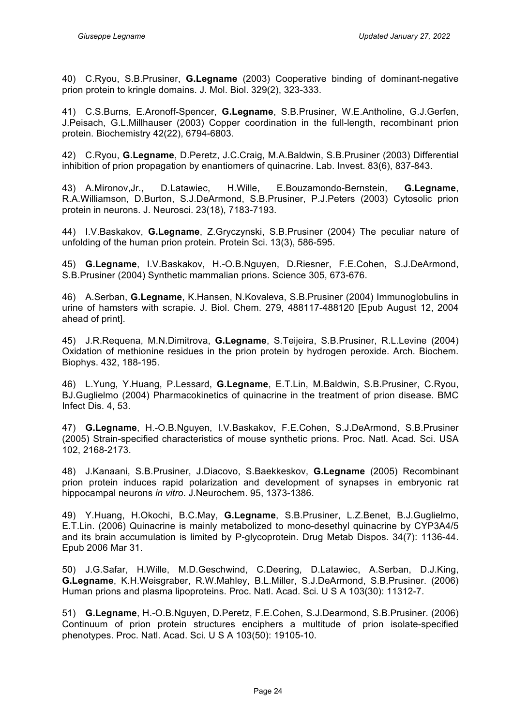40) C.Ryou, S.B.Prusiner, **G.Legname** (2003) Cooperative binding of dominant-negative prion protein to kringle domains. J. Mol. Biol. 329(2), 323-333.

41) C.S.Burns, E.Aronoff-Spencer, **G.Legname**, S.B.Prusiner, W.E.Antholine, G.J.Gerfen, J.Peisach, G.L.Millhauser (2003) Copper coordination in the full-length, recombinant prion protein. Biochemistry 42(22), 6794-6803.

42) C.Ryou, **G.Legname**, D.Peretz, J.C.Craig, M.A.Baldwin, S.B.Prusiner (2003) Differential inhibition of prion propagation by enantiomers of quinacrine. Lab. Invest. 83(6), 837-843.

43) A.Mironov,Jr., D.Latawiec, H.Wille, E.Bouzamondo-Bernstein, **G.Legname**, R.A.Williamson, D.Burton, S.J.DeArmond, S.B.Prusiner, P.J.Peters (2003) Cytosolic prion protein in neurons. J. Neurosci. 23(18), 7183-7193.

44) I.V.Baskakov, **G.Legname**, Z.Gryczynski, S.B.Prusiner (2004) The peculiar nature of unfolding of the human prion protein. Protein Sci. 13(3), 586-595.

45) **G.Legname**, I.V.Baskakov, H.-O.B.Nguyen, D.Riesner, F.E.Cohen, S.J.DeArmond, S.B.Prusiner (2004) Synthetic mammalian prions. Science 305, 673-676.

46) A.Serban, **G.Legname**, K.Hansen, N.Kovaleva, S.B.Prusiner (2004) Immunoglobulins in urine of hamsters with scrapie. J. Biol. Chem. 279, 488117-488120 [Epub August 12, 2004 ahead of print].

45) J.R.Requena, M.N.Dimitrova, **G.Legname**, S.Teijeira, S.B.Prusiner, R.L.Levine (2004) Oxidation of methionine residues in the prion protein by hydrogen peroxide. Arch. Biochem. Biophys. 432, 188-195.

46) L.Yung, Y.Huang, P.Lessard, **G.Legname**, E.T.Lin, M.Baldwin, S.B.Prusiner, C.Ryou, BJ.Guglielmo (2004) Pharmacokinetics of quinacrine in the treatment of prion disease. BMC Infect Dis. 4, 53.

47) **G.Legname**, H.-O.B.Nguyen, I.V.Baskakov, F.E.Cohen, S.J.DeArmond, S.B.Prusiner (2005) Strain-specified characteristics of mouse synthetic prions. Proc. Natl. Acad. Sci. USA 102, 2168-2173.

48) J.Kanaani, S.B.Prusiner, J.Diacovo, S.Baekkeskov, **G.Legname** (2005) Recombinant prion protein induces rapid polarization and development of synapses in embryonic rat hippocampal neurons *in vitro*. J.Neurochem. 95, 1373-1386.

49) Y.Huang, H.Okochi, B.C.May, **G.Legname**, S.B.Prusiner, L.Z.Benet, B.J.Guglielmo, E.T.Lin. (2006) Quinacrine is mainly metabolized to mono-desethyl quinacrine by CYP3A4/5 and its brain accumulation is limited by P-glycoprotein. Drug Metab Dispos. 34(7): 1136-44. Epub 2006 Mar 31.

50) J.G.Safar, H.Wille, M.D.Geschwind, C.Deering, D.Latawiec, A.Serban, D.J.King, **G.Legname**, K.H.Weisgraber, R.W.Mahley, B.L.Miller, S.J.DeArmond, S.B.Prusiner. (2006) Human prions and plasma lipoproteins. Proc. Natl. Acad. Sci. U S A 103(30): 11312-7.

51) **G.Legname**, H.-O.B.Nguyen, D.Peretz, F.E.Cohen, S.J.Dearmond, S.B.Prusiner. (2006) Continuum of prion protein structures enciphers a multitude of prion isolate-specified phenotypes. Proc. Natl. Acad. Sci. U S A 103(50): 19105-10.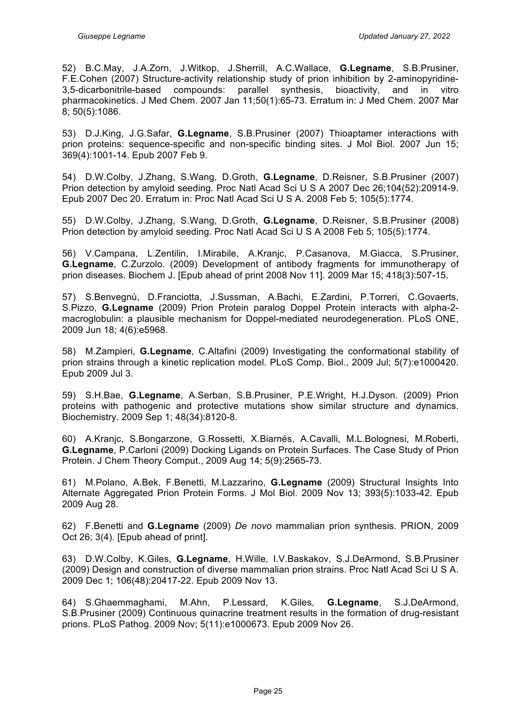52) B.C.May, J.A.Zorn, J.Witkop, J.Sherrill, A.C.Wallace, **G.Legname**, S.B.Prusiner, F.E.Cohen (2007) Structure-activity relationship study of prion inhibition by 2-aminopyridine-3,5-dicarbonitrile-based compounds: parallel synthesis, bioactivity, and in vitro pharmacokinetics. J Med Chem. 2007 Jan 11;50(1):65-73. Erratum in: J Med Chem. 2007 Mar 8; 50(5):1086.

53) D.J.King, J.G.Safar, **G.Legname**, S.B.Prusiner (2007) Thioaptamer interactions with prion proteins: sequence-specific and non-specific binding sites. J Mol Biol. 2007 Jun 15; 369(4):1001-14. Epub 2007 Feb 9.

54) D.W.Colby, J.Zhang, S.Wang, D.Groth, **G.Legname**, D.Reisner, S.B.Prusiner (2007) Prion detection by amyloid seeding. Proc Natl Acad Sci U S A 2007 Dec 26;104(52):20914-9. Epub 2007 Dec 20. Erratum in: Proc Natl Acad Sci U S A. 2008 Feb 5; 105(5):1774.

55) D.W.Colby, J.Zhang, S.Wang, D.Groth, **G.Legname**, D.Reisner, S.B.Prusiner (2008) Prion detection by amyloid seeding. Proc Natl Acad Sci U S A 2008 Feb 5; 105(5):1774.

56) V.Campana, L.Zentilin, I.Mirabile, A.Kranjc, P.Casanova, M.Giacca, S.Prusiner, **G.Legname**, C.Zurzolo. (2009) Development of antibody fragments for immunotherapy of prion diseases. Biochem J. [Epub ahead of print 2008 Nov 11]. 2009 Mar 15; 418(3):507-15.

57) S.Benvegnù, D.Franciotta, J.Sussman, A.Bachi, E.Zardini, P.Torreri, C.Govaerts, S.Pizzo, **G.Legname** (2009) Prion Protein paralog Doppel Protein interacts with alpha-2 macroglobulin: a plausible mechanism for Doppel-mediated neurodegeneration. PLoS ONE, 2009 Jun 18; 4(6):e5968.

58) M.Zampieri, **G.Legname**, C.Altafini (2009) Investigating the conformational stability of prion strains through a kinetic replication model. PLoS Comp. Biol., 2009 Jul; 5(7):e1000420. Epub 2009 Jul 3.

59) S.H.Bae, **G.Legname**, A.Serban, S.B.Prusiner, P.E.Wright, H.J.Dyson. (2009) Prion proteins with pathogenic and protective mutations show similar structure and dynamics. Biochemistry. 2009 Sep 1; 48(34):8120-8.

60) A.Kranjc, S.Bongarzone, G.Rossetti, X.Biarnés, A.Cavalli, M.L.Bolognesi, M.Roberti, **G.Legname**, P.Carloni (2009) Docking Ligands on Protein Surfaces. The Case Study of Prion Protein. J Chem Theory Comput., 2009 Aug 14; 5(9):2565-73.

61) M.Polano, A.Bek, F.Benetti, M.Lazzarino, **G.Legname** (2009) Structural Insights Into Alternate Aggregated Prion Protein Forms. J Mol Biol. 2009 Nov 13; 393(5):1033-42. Epub 2009 Aug 28.

62) F.Benetti and **G.Legname** (2009) *De novo* mammalian prion synthesis. PRION, 2009 Oct 26; 3(4). [Epub ahead of print].

63) D.W.Colby, K.Giles, **G.Legname**, H.Wille, I.V.Baskakov, S.J.DeArmond, S.B.Prusiner (2009) Design and construction of diverse mammalian prion strains. Proc Natl Acad Sci U S A. 2009 Dec 1; 106(48):20417-22. Epub 2009 Nov 13.

64) S.Ghaemmaghami, M.Ahn, P.Lessard, K.Giles, **G.Legname**, S.J.DeArmond, S.B.Prusiner (2009) Continuous quinacrine treatment results in the formation of drug-resistant prions. PLoS Pathog. 2009 Nov; 5(11):e1000673. Epub 2009 Nov 26.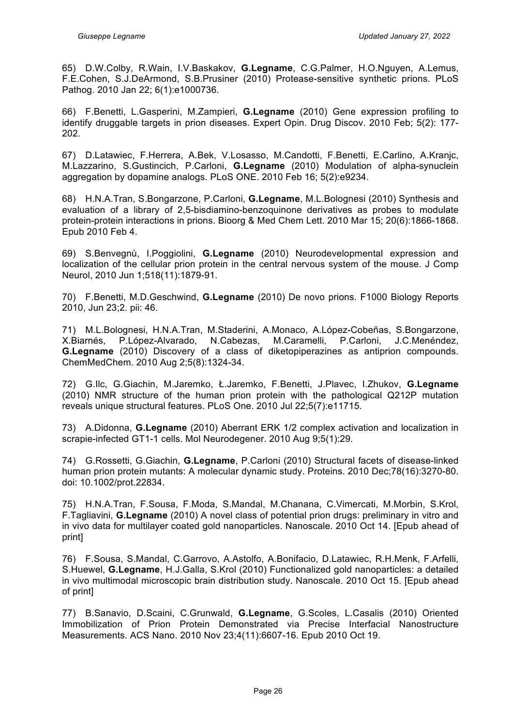65) D.W.Colby, R.Wain, I.V.Baskakov, **G.Legname**, C.G.Palmer, H.O.Nguyen, A.Lemus, F.E.Cohen, S.J.DeArmond, S.B.Prusiner (2010) Protease-sensitive synthetic prions. PLoS Pathog. 2010 Jan 22; 6(1):e1000736.

66) F.Benetti, L.Gasperini, M.Zampieri, **G.Legname** (2010) Gene expression profiling to identify druggable targets in prion diseases. Expert Opin. Drug Discov. 2010 Feb; 5(2): 177- 202.

67) D.Latawiec, F.Herrera, A.Bek, V.Losasso, M.Candotti, F.Benetti, E.Carlino, A.Kranjc, M.Lazzarino, S.Gustincich, P.Carloni, **G.Legname** (2010) Modulation of alpha-synuclein aggregation by dopamine analogs. PLoS ONE. 2010 Feb 16; 5(2):e9234.

68) H.N.A.Tran, S.Bongarzone, P.Carloni, **G.Legname**, M.L.Bolognesi (2010) Synthesis and evaluation of a library of 2,5-bisdiamino-benzoquinone derivatives as probes to modulate protein-protein interactions in prions. Bioorg & Med Chem Lett. 2010 Mar 15; 20(6):1866-1868. Epub 2010 Feb 4.

69) S.Benvegnù, I.Poggiolini, **G.Legname** (2010) Neurodevelopmental expression and localization of the cellular prion protein in the central nervous system of the mouse. J Comp Neurol, 2010 Jun 1;518(11):1879-91.

70) F.Benetti, M.D.Geschwind, **G.Legname** (2010) De novo prions. F1000 Biology Reports 2010, Jun 23;2. pii: 46.

71) M.L.Bolognesi, H.N.A.Tran, M.Staderini, A.Monaco, A.López-Cobeñas, S.Bongarzone, X.Biarnés, P.López-Alvarado, N.Cabezas, M.Caramelli, P.Carloni, J.C.Menéndez, **G.Legname** (2010) Discovery of a class of diketopiperazines as antiprion compounds. ChemMedChem. 2010 Aug 2;5(8):1324-34.

72) G.Ilc, G.Giachin, M.Jaremko, Ł.Jaremko, F.Benetti, J.Plavec, I.Zhukov, **G.Legname** (2010) NMR structure of the human prion protein with the pathological Q212P mutation reveals unique structural features. PLoS One. 2010 Jul 22;5(7):e11715.

73) A.Didonna, **G.Legname** (2010) Aberrant ERK 1/2 complex activation and localization in scrapie-infected GT1-1 cells. Mol Neurodegener. 2010 Aug 9;5(1):29.

74) G.Rossetti, G.Giachin, **G.Legname**, P.Carloni (2010) Structural facets of disease-linked human prion protein mutants: A molecular dynamic study. Proteins. 2010 Dec;78(16):3270-80. doi: 10.1002/prot.22834.

75) H.N.A.Tran, F.Sousa, F.Moda, S.Mandal, M.Chanana, C.Vimercati, M.Morbin, S.Krol, F.Tagliavini, **G.Legname** (2010) A novel class of potential prion drugs: preliminary in vitro and in vivo data for multilayer coated gold nanoparticles. Nanoscale. 2010 Oct 14. [Epub ahead of print]

76) F.Sousa, S.Mandal, C.Garrovo, A.Astolfo, A.Bonifacio, D.Latawiec, R.H.Menk, F.Arfelli, S.Huewel, **G.Legname**, H.J.Galla, S.Krol (2010) Functionalized gold nanoparticles: a detailed in vivo multimodal microscopic brain distribution study. Nanoscale. 2010 Oct 15. [Epub ahead of print]

77) B.Sanavio, D.Scaini, C.Grunwald, **G.Legname**, G.Scoles, L.Casalis (2010) Oriented Immobilization of Prion Protein Demonstrated via Precise Interfacial Nanostructure Measurements. ACS Nano. 2010 Nov 23;4(11):6607-16. Epub 2010 Oct 19.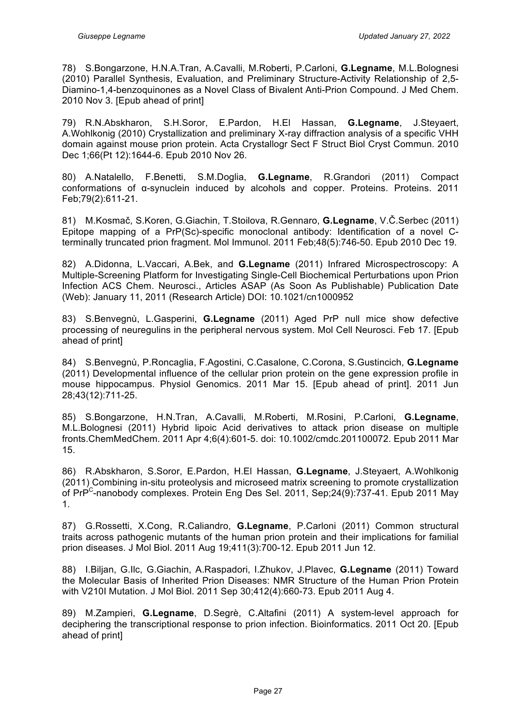78) S.Bongarzone, H.N.A.Tran, A.Cavalli, M.Roberti, P.Carloni, **G.Legname**, M.L.Bolognesi (2010) Parallel Synthesis, Evaluation, and Preliminary Structure-Activity Relationship of 2,5- Diamino-1,4-benzoquinones as a Novel Class of Bivalent Anti-Prion Compound. J Med Chem. 2010 Nov 3. [Epub ahead of print]

79) R.N.Abskharon, S.H.Soror, E.Pardon, H.El Hassan, **G.Legname**, J.Steyaert, A.Wohlkonig (2010) Crystallization and preliminary X-ray diffraction analysis of a specific VHH domain against mouse prion protein. Acta Crystallogr Sect F Struct Biol Cryst Commun. 2010 Dec 1;66(Pt 12):1644-6. Epub 2010 Nov 26.

80) A.Natalello, F.Benetti, S.M.Doglia, **G.Legname**, R.Grandori (2011) Compact conformations of α-synuclein induced by alcohols and copper. Proteins. Proteins. 2011 Feb;79(2):611-21.

81) M.Kosmač, S.Koren, G.Giachin, T.Stoilova, R.Gennaro, **G.Legname**, V.Č.Serbec (2011) Epitope mapping of a PrP(Sc)-specific monoclonal antibody: Identification of a novel Cterminally truncated prion fragment. Mol Immunol. 2011 Feb;48(5):746-50. Epub 2010 Dec 19.

82) A.Didonna, L.Vaccari, A.Bek, and **G.Legname** (2011) Infrared Microspectroscopy: A Multiple-Screening Platform for Investigating Single-Cell Biochemical Perturbations upon Prion Infection ACS Chem. Neurosci., Articles ASAP (As Soon As Publishable) Publication Date (Web): January 11, 2011 (Research Article) DOI: 10.1021/cn1000952

83) S.Benvegnù, L.Gasperini, **G.Legname** (2011) Aged PrP null mice show defective processing of neuregulins in the peripheral nervous system. Mol Cell Neurosci. Feb 17. [Epub ahead of print]

84) S.Benvegnù, P.Roncaglia, F.Agostini, C.Casalone, C.Corona, S.Gustincich, **G.Legname** (2011) Developmental influence of the cellular prion protein on the gene expression profile in mouse hippocampus. Physiol Genomics. 2011 Mar 15. [Epub ahead of print]. 2011 Jun 28;43(12):711-25.

85) S.Bongarzone, H.N.Tran, A.Cavalli, M.Roberti, M.Rosini, P.Carloni, **G.Legname**, M.L.Bolognesi (2011) Hybrid lipoic Acid derivatives to attack prion disease on multiple fronts.ChemMedChem. 2011 Apr 4;6(4):601-5. doi: 10.1002/cmdc.201100072. Epub 2011 Mar 15.

86) R.Abskharon, S.Soror, E.Pardon, H.El Hassan, **G.Legname**, J.Steyaert, A.Wohlkonig (2011) Combining in-situ proteolysis and microseed matrix screening to promote crystallization of PrP<sup>C</sup>-nanobody complexes. Protein Eng Des Sel. 2011, Sep; 24(9): 737-41. Epub 2011 May 1.

87) G.Rossetti, X.Cong, R.Caliandro, **G.Legname**, P.Carloni (2011) Common structural traits across pathogenic mutants of the human prion protein and their implications for familial prion diseases. J Mol Biol. 2011 Aug 19;411(3):700-12. Epub 2011 Jun 12.

88) I.Biljan, G.Ilc, G.Giachin, A.Raspadori, I.Zhukov, J.Plavec, **G.Legname** (2011) Toward the Molecular Basis of Inherited Prion Diseases: NMR Structure of the Human Prion Protein with V210I Mutation. J Mol Biol. 2011 Sep 30;412(4):660-73. Epub 2011 Aug 4.

89) M.Zampieri, **G.Legname**, D.Segrè, C.Altafini (2011) A system-level approach for deciphering the transcriptional response to prion infection. Bioinformatics. 2011 Oct 20. [Epub ahead of print]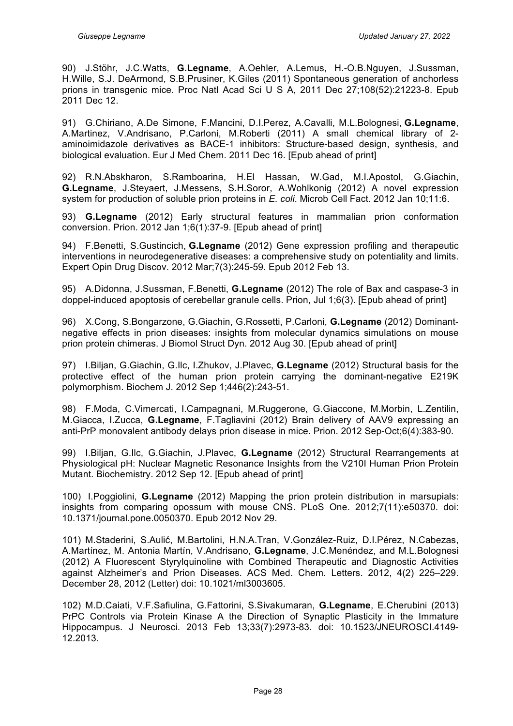90) J.Stöhr, J.C.Watts, **G.Legname**, A.Oehler, A.Lemus, H.-O.B.Nguyen, J.Sussman, H.Wille, S.J. DeArmond, S.B.Prusiner, K.Giles (2011) Spontaneous generation of anchorless prions in transgenic mice. Proc Natl Acad Sci U S A, 2011 Dec 27;108(52):21223-8. Epub 2011 Dec 12.

91) G.Chiriano, A.De Simone, F.Mancini, D.I.Perez, A.Cavalli, M.L.Bolognesi, **G.Legname**, A.Martinez, V.Andrisano, P.Carloni, M.Roberti (2011) A small chemical library of 2 aminoimidazole derivatives as BACE-1 inhibitors: Structure-based design, synthesis, and biological evaluation. Eur J Med Chem. 2011 Dec 16. [Epub ahead of print]

92) R.N.Abskharon, S.Ramboarina, H.El Hassan, W.Gad, M.I.Apostol, G.Giachin, **G.Legname**, J.Steyaert, J.Messens, S.H.Soror, A.Wohlkonig (2012) A novel expression system for production of soluble prion proteins in *E. coli*. Microb Cell Fact. 2012 Jan 10;11:6.

93) **G.Legname** (2012) Early structural features in mammalian prion conformation conversion. Prion. 2012 Jan 1;6(1):37-9. [Epub ahead of print]

94) F.Benetti, S.Gustincich, **G.Legname** (2012) Gene expression profiling and therapeutic interventions in neurodegenerative diseases: a comprehensive study on potentiality and limits. Expert Opin Drug Discov. 2012 Mar;7(3):245-59. Epub 2012 Feb 13.

95) A.Didonna, J.Sussman, F.Benetti, **G.Legname** (2012) The role of Bax and caspase-3 in doppel-induced apoptosis of cerebellar granule cells. Prion, Jul 1;6(3). [Epub ahead of print]

96) X.Cong, S.Bongarzone, G.Giachin, G.Rossetti, P.Carloni, **G.Legname** (2012) Dominantnegative effects in prion diseases: insights from molecular dynamics simulations on mouse prion protein chimeras. J Biomol Struct Dyn. 2012 Aug 30. [Epub ahead of print]

97) I.Biljan, G.Giachin, G.Ilc, I.Zhukov, J.Plavec, **G.Legname** (2012) Structural basis for the protective effect of the human prion protein carrying the dominant-negative E219K polymorphism. Biochem J. 2012 Sep 1;446(2):243-51.

98) F.Moda, C.Vimercati, I.Campagnani, M.Ruggerone, G.Giaccone, M.Morbin, L.Zentilin, M.Giacca, I.Zucca, **G.Legname**, F.Tagliavini (2012) Brain delivery of AAV9 expressing an anti-PrP monovalent antibody delays prion disease in mice. Prion. 2012 Sep-Oct;6(4):383-90.

99) I.Biljan, G.Ilc, G.Giachin, J.Plavec, **G.Legname** (2012) Structural Rearrangements at Physiological pH: Nuclear Magnetic Resonance Insights from the V210I Human Prion Protein Mutant. Biochemistry. 2012 Sep 12. [Epub ahead of print]

100) I.Poggiolini, **G.Legname** (2012) Mapping the prion protein distribution in marsupials: insights from comparing opossum with mouse CNS. PLoS One. 2012;7(11):e50370. doi: 10.1371/journal.pone.0050370. Epub 2012 Nov 29.

101) M.Staderini, S.Aulić, M.Bartolini, H.N.A.Tran, V.González-Ruiz, D.I.Pérez, N.Cabezas, A.Martínez, M. Antonia Martín, V.Andrisano, **G.Legname**, J.C.Menéndez, and M.L.Bolognesi (2012) A Fluorescent Styrylquinoline with Combined Therapeutic and Diagnostic Activities against Alzheimer's and Prion Diseases. ACS Med. Chem. Letters. 2012, 4(2) 225–229. December 28, 2012 (Letter) doi: 10.1021/ml3003605.

102) M.D.Caiati, V.F.Safiulina, G.Fattorini, S.Sivakumaran, **G.Legname**, E.Cherubini (2013) PrPC Controls via Protein Kinase A the Direction of Synaptic Plasticity in the Immature Hippocampus. J Neurosci. 2013 Feb 13;33(7):2973-83. doi: 10.1523/JNEUROSCI.4149- 12.2013.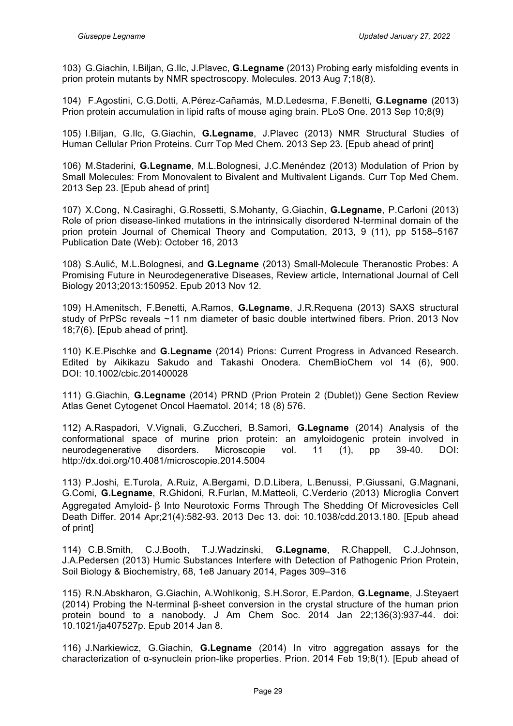103) G.Giachin, I.Biljan, G.Ilc, J.Plavec, **G.Legname** (2013) Probing early misfolding events in prion protein mutants by NMR spectroscopy. Molecules. 2013 Aug 7;18(8).

104) F.Agostini, C.G.Dotti, A.Pérez-Cañamás, M.D.Ledesma, F.Benetti, **G.Legname** (2013) Prion protein accumulation in lipid rafts of mouse aging brain. PLoS One. 2013 Sep 10;8(9)

105) I.Biljan, G.Ilc, G.Giachin, **G.Legname**, J.Plavec (2013) NMR Structural Studies of Human Cellular Prion Proteins. Curr Top Med Chem. 2013 Sep 23. [Epub ahead of print]

106) M.Staderini, **G.Legname**, M.L.Bolognesi, J.C.Menéndez (2013) Modulation of Prion by Small Molecules: From Monovalent to Bivalent and Multivalent Ligands. Curr Top Med Chem. 2013 Sep 23. [Epub ahead of print]

107) X.Cong, N.Casiraghi, G.Rossetti, S.Mohanty, G.Giachin, **G.Legname**, P.Carloni (2013) Role of prion disease-linked mutations in the intrinsically disordered N-terminal domain of the prion protein Journal of Chemical Theory and Computation, 2013, 9 (11), pp 5158–5167 Publication Date (Web): October 16, 2013

108) S.Aulić, M.L.Bolognesi, and **G.Legname** (2013) Small-Molecule Theranostic Probes: A Promising Future in Neurodegenerative Diseases, Review article, International Journal of Cell Biology 2013;2013:150952. Epub 2013 Nov 12.

109) H.Amenitsch, F.Benetti, A.Ramos, **G.Legname**, J.R.Requena (2013) SAXS structural study of PrPSc reveals ~11 nm diameter of basic double intertwined fibers. Prion. 2013 Nov 18;7(6). [Epub ahead of print].

110) K.E.Pischke and **G.Legname** (2014) Prions: Current Progress in Advanced Research. Edited by Aikikazu Sakudo and Takashi Onodera. ChemBioChem vol 14 (6), 900. DOI: 10.1002/cbic.201400028

111) G.Giachin, **G.Legname** (2014) PRND (Prion Protein 2 (Dublet)) Gene Section Review Atlas Genet Cytogenet Oncol Haematol. 2014; 18 (8) 576.

112) A.Raspadori, V.Vignali, G.Zuccheri, B.Samorì, **G.Legname** (2014) Analysis of the conformational space of murine prion protein: an amyloidogenic protein involved in neurodegenerative disorders. Microscopie vol. 11 (1), pp 39-40. DOI: http://dx.doi.org/10.4081/microscopie.2014.5004

113) P.Joshi, E.Turola, A.Ruiz, A.Bergami, D.D.Libera, L.Benussi, P.Giussani, G.Magnani, G.Comi, **G.Legname**, R.Ghidoni, R.Furlan, M.Matteoli, C.Verderio (2013) Microglia Convert Aggregated Amyloid- β Into Neurotoxic Forms Through The Shedding Of Microvesicles Cell Death Differ. 2014 Apr;21(4):582-93. 2013 Dec 13. doi: 10.1038/cdd.2013.180. [Epub ahead of print]

114) C.B.Smith, C.J.Booth, T.J.Wadzinski, **G.Legname**, R.Chappell, C.J.Johnson, J.A.Pedersen (2013) Humic Substances Interfere with Detection of Pathogenic Prion Protein, Soil Biology & Biochemistry, 68, 1e8 January 2014, Pages 309–316

115) R.N.Abskharon, G.Giachin, A.Wohlkonig, S.H.Soror, E.Pardon, **G.Legname**, J.Steyaert (2014) Probing the N-terminal β-sheet conversion in the crystal structure of the human prion protein bound to a nanobody. J Am Chem Soc. 2014 Jan 22;136(3):937-44. doi: 10.1021/ja407527p. Epub 2014 Jan 8.

116) J.Narkiewicz, G.Giachin, **G.Legname** (2014) In vitro aggregation assays for the characterization of α-synuclein prion-like properties. Prion. 2014 Feb 19;8(1). [Epub ahead of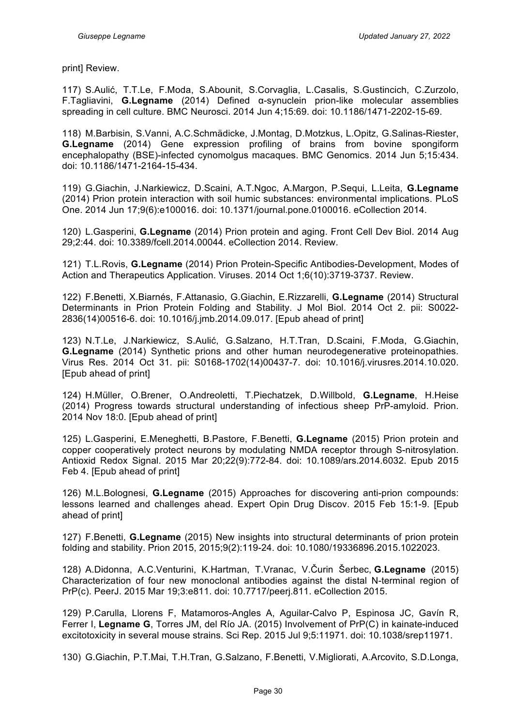print] Review.

117) S.Aulić, T.T.Le, F.Moda, S.Abounit, S.Corvaglia, L.Casalis, S.Gustincich, C.Zurzolo, F.Tagliavini, **G.Legname** (2014) Defined α-synuclein prion-like molecular assemblies spreading in cell culture. BMC Neurosci. 2014 Jun 4;15:69. doi: 10.1186/1471-2202-15-69.

118) M.Barbisin, S.Vanni, A.C.Schmädicke, J.Montag, D.Motzkus, L.Opitz, G.Salinas-Riester, **G.Legname** (2014) Gene expression profiling of brains from bovine spongiform encephalopathy (BSE)-infected cynomolgus macaques. BMC Genomics. 2014 Jun 5;15:434. doi: 10.1186/1471-2164-15-434.

119) G.Giachin, J.Narkiewicz, D.Scaini, A.T.Ngoc, A.Margon, P.Sequi, L.Leita, **G.Legname** (2014) Prion protein interaction with soil humic substances: environmental implications. PLoS One. 2014 Jun 17;9(6):e100016. doi: 10.1371/journal.pone.0100016. eCollection 2014.

120) L.Gasperini, **G.Legname** (2014) Prion protein and aging. Front Cell Dev Biol. 2014 Aug 29;2:44. doi: 10.3389/fcell.2014.00044. eCollection 2014. Review.

121) T.L.Rovis, **G.Legname** (2014) Prion Protein-Specific Antibodies-Development, Modes of Action and Therapeutics Application. Viruses. 2014 Oct 1;6(10):3719-3737. Review.

122) F.Benetti, X.Biarnés, F.Attanasio, G.Giachin, E.Rizzarelli, **G.Legname** (2014) Structural Determinants in Prion Protein Folding and Stability. J Mol Biol. 2014 Oct 2. pii: S0022- 2836(14)00516-6. doi: 10.1016/j.jmb.2014.09.017. [Epub ahead of print]

123) N.T.Le, J.Narkiewicz, S.Aulić, G.Salzano, H.T.Tran, D.Scaini, F.Moda, G.Giachin, **G.Legname** (2014) Synthetic prions and other human neurodegenerative proteinopathies. Virus Res. 2014 Oct 31. pii: S0168-1702(14)00437-7. doi: 10.1016/j.virusres.2014.10.020. [Epub ahead of print]

124) H.Müller, O.Brener, O.Andreoletti, T.Piechatzek, D.Willbold, **G.Legname**, H.Heise (2014) Progress towards structural understanding of infectious sheep PrP-amyloid. Prion. 2014 Nov 18:0. [Epub ahead of print]

125) L.Gasperini, E.Meneghetti, B.Pastore, F.Benetti, **G.Legname** (2015) Prion protein and copper cooperatively protect neurons by modulating NMDA receptor through S-nitrosylation. Antioxid Redox Signal. 2015 Mar 20;22(9):772-84. doi: 10.1089/ars.2014.6032. Epub 2015 Feb 4. [Epub ahead of print]

126) M.L.Bolognesi, **G.Legname** (2015) Approaches for discovering anti-prion compounds: lessons learned and challenges ahead. Expert Opin Drug Discov. 2015 Feb 15:1-9. [Epub ahead of print]

127) F.Benetti, **G.Legname** (2015) New insights into structural determinants of prion protein folding and stability. Prion 2015, 2015;9(2):119-24. doi: 10.1080/19336896.2015.1022023.

128) A.Didonna, A.C.Venturini, K.Hartman, T.Vranac, V.Čurin Šerbec, **G.Legname** (2015) Characterization of four new monoclonal antibodies against the distal N-terminal region of PrP(c). PeerJ. 2015 Mar 19;3:e811. doi: 10.7717/peerj.811. eCollection 2015.

129) P.Carulla, Llorens F, Matamoros-Angles A, Aguilar-Calvo P, Espinosa JC, Gavín R, Ferrer I, **Legname G**, Torres JM, del Río JA. (2015) Involvement of PrP(C) in kainate-induced excitotoxicity in several mouse strains. Sci Rep. 2015 Jul 9;5:11971. doi: 10.1038/srep11971.

130) G.Giachin, P.T.Mai, T.H.Tran, G.Salzano, F.Benetti, V.Migliorati, A.Arcovito, S.D.Longa,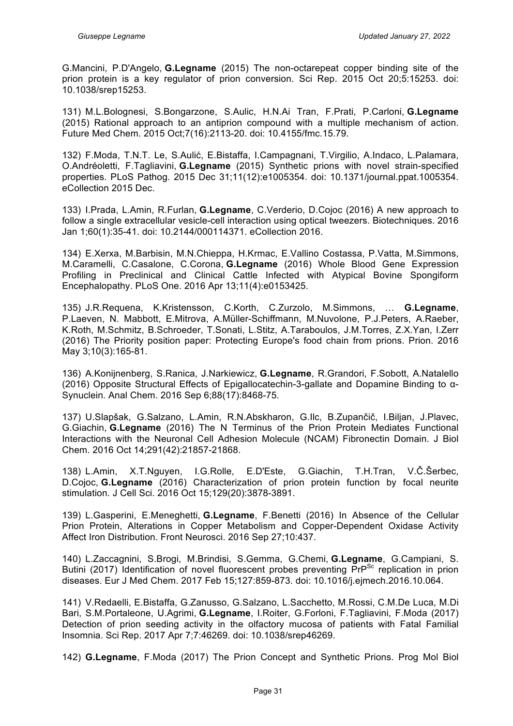G.Mancini, P.D'Angelo, **G.Legname** (2015) The non-octarepeat copper binding site of the prion protein is a key regulator of prion conversion. Sci Rep. 2015 Oct 20;5:15253. doi: 10.1038/srep15253.

131) M.L.Bolognesi, S.Bongarzone, S.Aulic, H.N.Ai Tran, F.Prati, P.Carloni, **G.Legname** (2015) Rational approach to an antiprion compound with a multiple mechanism of action. Future Med Chem. 2015 Oct;7(16):2113-20. doi: 10.4155/fmc.15.79.

132) F.Moda, T.N.T. Le, S.Aulić, E.Bistaffa, I.Campagnani, T.Virgilio, A.Indaco, L.Palamara, O.Andréoletti, F.Tagliavini, **G.Legname** (2015) Synthetic prions with novel strain-specified properties. PLoS Pathog. 2015 Dec 31;11(12):e1005354. doi: 10.1371/journal.ppat.1005354. eCollection 2015 Dec.

133) I.Prada, L.Amin, R.Furlan, **G.Legname**, C.Verderio, D.Cojoc (2016) A new approach to follow a single extracellular vesicle-cell interaction using optical tweezers. Biotechniques. 2016 Jan 1;60(1):35-41. doi: 10.2144/000114371. eCollection 2016.

134) E.Xerxa, M.Barbisin, M.N.Chieppa, H.Krmac, E.Vallino Costassa, P.Vatta, M.Simmons, M.Caramelli, C.Casalone, C.Corona, **G.Legname** (2016) Whole Blood Gene Expression Profiling in Preclinical and Clinical Cattle Infected with Atypical Bovine Spongiform Encephalopathy. PLoS One. 2016 Apr 13;11(4):e0153425.

135) J.R.Requena, K.Kristensson, C.Korth, C.Zurzolo, M.Simmons, … **G.Legname**, P.Laeven, N. Mabbott, E.Mitrova, A.Müller-Schiffmann, M.Nuvolone, P.J.Peters, A.Raeber, K.Roth, M.Schmitz, B.Schroeder, T.Sonati, L.Stitz, A.Taraboulos, J.M.Torres, Z.X.Yan, I.Zerr (2016) The Priority position paper: Protecting Europe's food chain from prions. Prion. 2016 May 3;10(3):165-81.

136) A.Konijnenberg, S.Ranica, J.Narkiewicz, **G.Legname**, R.Grandori, F.Sobott, A.Natalello (2016) Opposite Structural Effects of Epigallocatechin-3-gallate and Dopamine Binding to α-Synuclein. Anal Chem. 2016 Sep 6;88(17):8468-75.

137) U.Slapšak, G.Salzano, L.Amin, R.N.Abskharon, G.Ilc, B.Zupančič, I.Biljan, J.Plavec, G.Giachin, **G.Legname** (2016) The N Terminus of the Prion Protein Mediates Functional Interactions with the Neuronal Cell Adhesion Molecule (NCAM) Fibronectin Domain. J Biol Chem. 2016 Oct 14;291(42):21857-21868.

138) L.Amin, X.T.Nguyen, I.G.Rolle, E.D'Este, G.Giachin, T.H.Tran, V.Č.Šerbec, D.Cojoc, **G.Legname** (2016) Characterization of prion protein function by focal neurite stimulation. J Cell Sci. 2016 Oct 15;129(20):3878-3891.

139) L.Gasperini, E.Meneghetti, **G.Legname**, F.Benetti (2016) In Absence of the Cellular Prion Protein, Alterations in Copper Metabolism and Copper-Dependent Oxidase Activity Affect Iron Distribution. Front Neurosci. 2016 Sep 27;10:437.

140) L.Zaccagnini, S.Brogi, M.Brindisi, S.Gemma, G.Chemi, **G.Legname**, G.Campiani, S. Butini (2017) Identification of novel fluorescent probes preventing  $PrP^{Sc}$  replication in prion diseases. Eur J Med Chem. 2017 Feb 15;127:859-873. doi: 10.1016/j.ejmech.2016.10.064.

141) V.Redaelli, E.Bistaffa, G.Zanusso, G.Salzano, L.Sacchetto, M.Rossi, C.M.De Luca, M.Di Bari, S.M.Portaleone, U.Agrimi, **G.Legname**, I.Roiter, G.Forloni, F.Tagliavini, F.Moda (2017) Detection of prion seeding activity in the olfactory mucosa of patients with Fatal Familial Insomnia. Sci Rep. 2017 Apr 7;7:46269. doi: 10.1038/srep46269.

142) **G.Legname**, F.Moda (2017) The Prion Concept and Synthetic Prions. Prog Mol Biol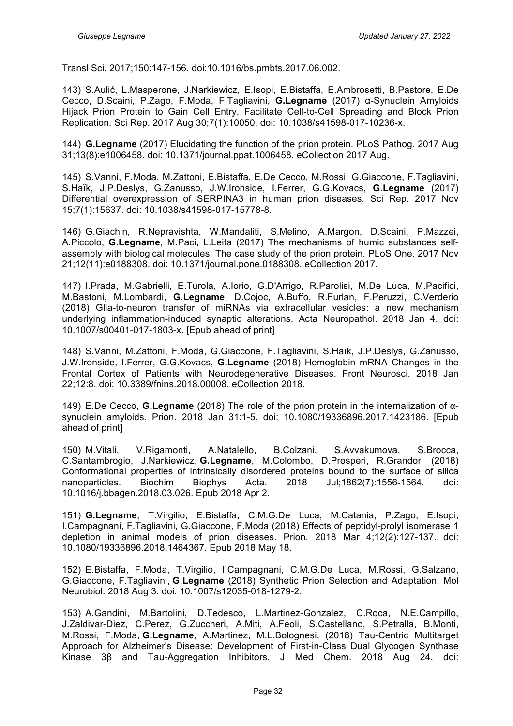Transl Sci. 2017;150:147-156. doi:10.1016/bs.pmbts.2017.06.002.

143) S.Aulić, L.Masperone, J.Narkiewicz, E.Isopi, E.Bistaffa, E.Ambrosetti, B.Pastore, E.De Cecco, D.Scaini, P.Zago, F.Moda, F.Tagliavini, **G.Legname** (2017) α-Synuclein Amyloids Hijack Prion Protein to Gain Cell Entry, Facilitate Cell-to-Cell Spreading and Block Prion Replication. Sci Rep. 2017 Aug 30;7(1):10050. doi: 10.1038/s41598-017-10236-x.

144) **G.Legname** (2017) Elucidating the function of the prion protein. PLoS Pathog. 2017 Aug 31;13(8):e1006458. doi: 10.1371/journal.ppat.1006458. eCollection 2017 Aug.

145) S.Vanni, F.Moda, M.Zattoni, E.Bistaffa, E.De Cecco, M.Rossi, G.Giaccone, F.Tagliavini, S.Haïk, J.P.Deslys, G.Zanusso, J.W.Ironside, I.Ferrer, G.G.Kovacs, **G**.**Legname** (2017) Differential overexpression of SERPINA3 in human prion diseases. Sci Rep. 2017 Nov 15;7(1):15637. doi: 10.1038/s41598-017-15778-8.

146) G.Giachin, R.Nepravishta, W.Mandaliti, S.Melino, A.Margon, D.Scaini, P.Mazzei, A.Piccolo, **G.Legname**, M.Paci, L.Leita (2017) The mechanisms of humic substances selfassembly with biological molecules: The case study of the prion protein. PLoS One. 2017 Nov 21;12(11):e0188308. doi: 10.1371/journal.pone.0188308. eCollection 2017.

147) I.Prada, M.Gabrielli, E.Turola, A.Iorio, G.D'Arrigo, R.Parolisi, M.De Luca, M.Pacifici, M.Bastoni, M.Lombardi, **G.Legname**, D.Cojoc, A.Buffo, R.Furlan, F.Peruzzi, C.Verderio (2018) Glia-to-neuron transfer of miRNAs via extracellular vesicles: a new mechanism underlying inflammation-induced synaptic alterations. Acta Neuropathol. 2018 Jan 4. doi: 10.1007/s00401-017-1803-x. [Epub ahead of print]

148) S.Vanni, M.Zattoni, F.Moda, G.Giaccone, F.Tagliavini, S.Haïk, J.P.Deslys, G.Zanusso, J.W.Ironside, I.Ferrer, G.G.Kovacs, **G.Legname** (2018) Hemoglobin mRNA Changes in the Frontal Cortex of Patients with Neurodegenerative Diseases. Front Neurosci. 2018 Jan 22;12:8. doi: 10.3389/fnins.2018.00008. eCollection 2018.

149) E.De Cecco, **G.Legname** (2018) The role of the prion protein in the internalization of αsynuclein amyloids. Prion. 2018 Jan 31:1-5. doi: 10.1080/19336896.2017.1423186. [Epub ahead of print]

150) M.Vitali, V.Rigamonti, A.Natalello, B.Colzani, S.Avvakumova, S.Brocca, C.Santambrogio, J.Narkiewicz, **G.Legname**, M.Colombo, D.Prosperi, R.Grandori (2018) Conformational properties of intrinsically disordered proteins bound to the surface of silica nanoparticles. Biochim Biophys Acta. 2018 Jul;1862(7):1556-1564. doi: 10.1016/j.bbagen.2018.03.026. Epub 2018 Apr 2.

151) **G.Legname**, T.Virgilio, E.Bistaffa, C.M.G.De Luca, M.Catania, P.Zago, E.Isopi, I.Campagnani, F.Tagliavini, G.Giaccone, F.Moda (2018) Effects of peptidyl-prolyl isomerase 1 depletion in animal models of prion diseases. Prion. 2018 Mar 4;12(2):127-137. doi: 10.1080/19336896.2018.1464367. Epub 2018 May 18.

152) E.Bistaffa, F.Moda, T.Virgilio, I.Campagnani, C.M.G.De Luca, M.Rossi, G.Salzano, G.Giaccone, F.Tagliavini, **G**.**Legname** (2018) Synthetic Prion Selection and Adaptation. Mol Neurobiol. 2018 Aug 3. doi: 10.1007/s12035-018-1279-2.

153) A.Gandini, M.Bartolini, D.Tedesco, L.Martinez-Gonzalez, C.Roca, N.E.Campillo, J.Zaldivar-Diez, C.Perez, G.Zuccheri, A.Miti, A.Feoli, S.Castellano, S.Petralla, B.Monti, M.Rossi, F.Moda, **G.Legname**, A.Martinez, M.L.Bolognesi. (2018) Tau-Centric Multitarget Approach for Alzheimer's Disease: Development of First-in-Class Dual Glycogen Synthase Kinase 3β and Tau-Aggregation Inhibitors. J Med Chem. 2018 Aug 24. doi: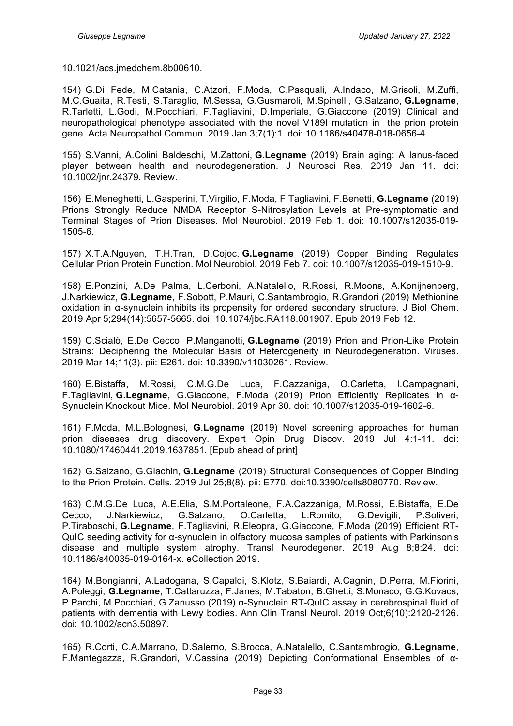10.1021/acs.jmedchem.8b00610.

154) G.Di Fede, M.Catania, C.Atzori, F.Moda, C.Pasquali, A.Indaco, M.Grisoli, M.Zuffi, M.C.Guaita, R.Testi, S.Taraglio, M.Sessa, G.Gusmaroli, M.Spinelli, G.Salzano, **G.Legname**, R.Tarletti, L.Godi, M.Pocchiari, F.Tagliavini, D.Imperiale, G.Giaccone (2019) Clinical and neuropathological phenotype associated with the novel V189I mutation in the prion protein gene. Acta Neuropathol Commun. 2019 Jan 3;7(1):1. doi: 10.1186/s40478-018-0656-4.

155) S.Vanni, A.Colini Baldeschi, M.Zattoni, **G.Legname** (2019) Brain aging: A Ianus-faced player between health and neurodegeneration. J Neurosci Res. 2019 Jan 11. doi: 10.1002/jnr.24379. Review.

156) E.Meneghetti, L.Gasperini, T.Virgilio, F.Moda, F.Tagliavini, F.Benetti, **G.Legname** (2019) Prions Strongly Reduce NMDA Receptor S-Nitrosylation Levels at Pre-symptomatic and Terminal Stages of Prion Diseases. Mol Neurobiol. 2019 Feb 1. doi: 10.1007/s12035-019- 1505-6.

157) X.T.A.Nguyen, T.H.Tran, D.Cojoc, **G.Legname** (2019) Copper Binding Regulates Cellular Prion Protein Function. Mol Neurobiol. 2019 Feb 7. doi: 10.1007/s12035-019-1510-9.

158) E.Ponzini, A.De Palma, L.Cerboni, A.Natalello, R.Rossi, R.Moons, A.Konijnenberg, J.Narkiewicz, **G.Legname**, F.Sobott, P.Mauri, C.Santambrogio, R.Grandori (2019) Methionine oxidation in α-synuclein inhibits its propensity for ordered secondary structure. J Biol Chem. 2019 Apr 5;294(14):5657-5665. doi: 10.1074/jbc.RA118.001907. Epub 2019 Feb 12.

159) C.Scialò, E.De Cecco, P.Manganotti, **G.Legname** (2019) Prion and Prion-Like Protein Strains: Deciphering the Molecular Basis of Heterogeneity in Neurodegeneration. Viruses. 2019 Mar 14;11(3). pii: E261. doi: 10.3390/v11030261. Review.

160) E.Bistaffa, M.Rossi, C.M.G.De Luca, F.Cazzaniga, O.Carletta, I.Campagnani, F.Tagliavini, **G.Legname**, G.Giaccone, F.Moda (2019) Prion Efficiently Replicates in α-Synuclein Knockout Mice. Mol Neurobiol. 2019 Apr 30. doi: 10.1007/s12035-019-1602-6.

161) F.Moda, M.L.Bolognesi, **G**.**Legname** (2019) Novel screening approaches for human prion diseases drug discovery. Expert Opin Drug Discov. 2019 Jul 4:1-11. doi: 10.1080/17460441.2019.1637851. [Epub ahead of print]

162) G.Salzano, G.Giachin, **G.Legname** (2019) Structural Consequences of Copper Binding to the Prion Protein. Cells. 2019 Jul 25;8(8). pii: E770. doi:10.3390/cells8080770. Review.

163) C.M.G.De Luca, A.E.Elia, S.M.Portaleone, F.A.Cazzaniga, M.Rossi, E.Bistaffa, E.De Cecco, J.Narkiewicz, G.Salzano, O.Carletta, L.Romito, G.Devigili, P.Soliveri, P.Tiraboschi, **G.Legname**, F.Tagliavini, R.Eleopra, G.Giaccone, F.Moda (2019) Efficient RT-QuIC seeding activity for α-synuclein in olfactory mucosa samples of patients with Parkinson's disease and multiple system atrophy. Transl Neurodegener. 2019 Aug 8;8:24. doi: 10.1186/s40035-019-0164-x. eCollection 2019.

164) M.Bongianni, A.Ladogana, S.Capaldi, S.Klotz, S.Baiardi, A.Cagnin, D.Perra, M.Fiorini, A.Poleggi, **G.Legname**, T.Cattaruzza, F.Janes, M.Tabaton, B.Ghetti, S.Monaco, G.G.Kovacs, P.Parchi, M.Pocchiari, G.Zanusso (2019) α-Synuclein RT-QuIC assay in cerebrospinal fluid of patients with dementia with Lewy bodies. Ann Clin Transl Neurol. 2019 Oct;6(10):2120-2126. doi: 10.1002/acn3.50897.

165) R.Corti, C.A.Marrano, D.Salerno, S.Brocca, A.Natalello, C.Santambrogio, **G.Legname**, F.Mantegazza, R.Grandori, V.Cassina (2019) Depicting Conformational Ensembles of α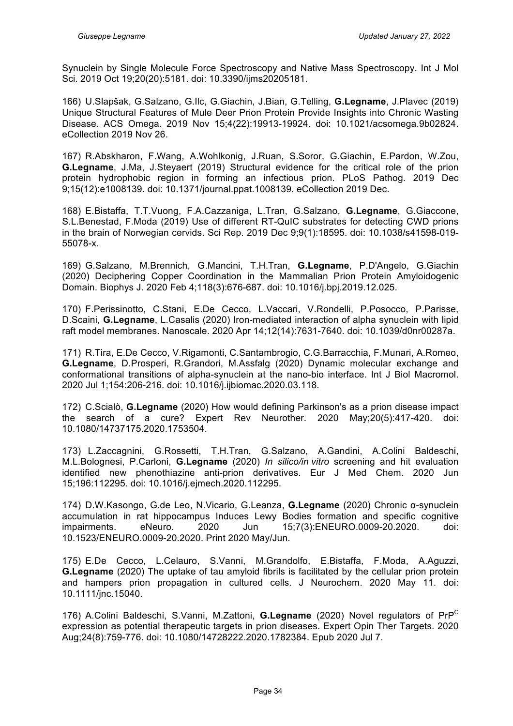Synuclein by Single Molecule Force Spectroscopy and Native Mass Spectroscopy. Int J Mol Sci. 2019 Oct 19;20(20):5181. doi: 10.3390/ijms20205181.

166) U.Slapšak, G.Salzano, G.Ilc, G.Giachin, J.Bian, G.Telling, **G.Legname**, J.Plavec (2019) Unique Structural Features of Mule Deer Prion Protein Provide Insights into Chronic Wasting Disease. ACS Omega. 2019 Nov 15;4(22):19913-19924. doi: 10.1021/acsomega.9b02824. eCollection 2019 Nov 26.

167) R.Abskharon, F.Wang, A.Wohlkonig, J.Ruan, S.Soror, G.Giachin, E.Pardon, W.Zou, **G.Legname**, J.Ma, J.Steyaert (2019) Structural evidence for the critical role of the prion protein hydrophobic region in forming an infectious prion. PLoS Pathog. 2019 Dec 9;15(12):e1008139. doi: 10.1371/journal.ppat.1008139. eCollection 2019 Dec.

168) E.Bistaffa, T.T.Vuong, F.A.Cazzaniga, L.Tran, G.Salzano, **G.Legname**, G.Giaccone, S.L.Benestad, F.Moda (2019) Use of different RT-QuIC substrates for detecting CWD prions in the brain of Norwegian cervids. Sci Rep. 2019 Dec 9;9(1):18595. doi: 10.1038/s41598-019- 55078-x.

169) G.Salzano, M.Brennich, G.Mancini, T.H.Tran, **G.Legname**, P.D'Angelo, G.Giachin (2020) Deciphering Copper Coordination in the Mammalian Prion Protein Amyloidogenic Domain. Biophys J. 2020 Feb 4;118(3):676-687. doi: 10.1016/j.bpj.2019.12.025.

170) F.Perissinotto, C.Stani, E.De Cecco, L.Vaccari, V.Rondelli, P.Posocco, P.Parisse, D.Scaini, **G.Legname**, L.Casalis (2020) Iron-mediated interaction of alpha synuclein with lipid raft model membranes. Nanoscale. 2020 Apr 14;12(14):7631-7640. doi: 10.1039/d0nr00287a.

171) R.Tira, E.De Cecco, V.Rigamonti, C.Santambrogio, C.G.Barracchia, F.Munari, A.Romeo, **G.Legname**, D.Prosperi, R.Grandori, M.Assfalg (2020) Dynamic molecular exchange and conformational transitions of alpha-synuclein at the nano-bio interface. Int J Biol Macromol. 2020 Jul 1;154:206-216. doi: 10.1016/j.ijbiomac.2020.03.118.

172) C.Scialò, **G.Legname** (2020) How would defining Parkinson's as a prion disease impact the search of a cure? Expert Rev Neurother. 2020 May;20(5):417-420. doi: 10.1080/14737175.2020.1753504.

173) L.Zaccagnini, G.Rossetti, T.H.Tran, G.Salzano, A.Gandini, A.Colini Baldeschi, M.L.Bolognesi, P.Carloni, **G.Legname** (2020) *In silico/in vitro* screening and hit evaluation identified new phenothiazine anti-prion derivatives. Eur J Med Chem. 2020 Jun 15;196:112295. doi: 10.1016/j.ejmech.2020.112295.

174) D.W.Kasongo, G.de Leo, N.Vicario, G.Leanza, **G.Legname** (2020) Chronic α-synuclein accumulation in rat hippocampus Induces Lewy Bodies formation and specific cognitive impairments. eNeuro. 2020 Jun 15;7(3):ENEURO.0009-20.2020. doi: 10.1523/ENEURO.0009-20.2020. Print 2020 May/Jun.

175) E.De Cecco, L.Celauro, S.Vanni, M.Grandolfo, E.Bistaffa, F.Moda, A.Aguzzi, **G.Legname** (2020) The uptake of tau amyloid fibrils is facilitated by the cellular prion protein and hampers prion propagation in cultured cells. J Neurochem. 2020 May 11. doi: 10.1111/jnc.15040.

176) A.Colini Baldeschi, S.Vanni, M.Zattoni, **G.Legname** (2020) Novel regulators of PrP<sup>C</sup> expression as potential therapeutic targets in prion diseases. Expert Opin Ther Targets. 2020 Aug;24(8):759-776. doi: 10.1080/14728222.2020.1782384. Epub 2020 Jul 7.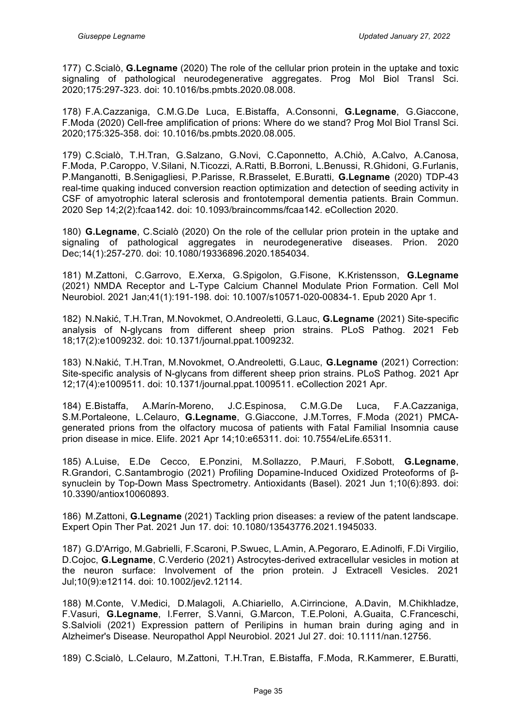177) C.Scialò, **G.Legname** (2020) The role of the cellular prion protein in the uptake and toxic signaling of pathological neurodegenerative aggregates. Prog Mol Biol Transl Sci. 2020;175:297-323. doi: 10.1016/bs.pmbts.2020.08.008.

178) F.A.Cazzaniga, C.M.G.De Luca, E.Bistaffa, A.Consonni, **G.Legname**, G.Giaccone, F.Moda (2020) Cell-free amplification of prions: Where do we stand? Prog Mol Biol Transl Sci. 2020;175:325-358. doi: 10.1016/bs.pmbts.2020.08.005.

179) C.Scialò, T.H.Tran, G.Salzano, G.Novi, C.Caponnetto, A.Chiò, A.Calvo, A.Canosa, F.Moda, P.Caroppo, V.Silani, N.Ticozzi, A.Ratti, B.Borroni, L.Benussi, R.Ghidoni, G.Furlanis, P.Manganotti, B.Senigagliesi, P.Parisse, R.Brasselet, E.Buratti, **G.Legname** (2020) TDP-43 real-time quaking induced conversion reaction optimization and detection of seeding activity in CSF of amyotrophic lateral sclerosis and frontotemporal dementia patients. Brain Commun. 2020 Sep 14;2(2):fcaa142. doi: 10.1093/braincomms/fcaa142. eCollection 2020.

180) **G.Legname**, C.Scialò (2020) On the role of the cellular prion protein in the uptake and signaling of pathological aggregates in neurodegenerative diseases. Prion. 2020 Dec;14(1):257-270. doi: 10.1080/19336896.2020.1854034.

181) M.Zattoni, C.Garrovo, E.Xerxa, G.Spigolon, G.Fisone, K.Kristensson, **G.Legname**  (2021) NMDA Receptor and L-Type Calcium Channel Modulate Prion Formation. Cell Mol Neurobiol. 2021 Jan;41(1):191-198. doi: 10.1007/s10571-020-00834-1. Epub 2020 Apr 1.

182) N.Nakić, T.H.Tran, M.Novokmet, O.Andreoletti, G.Lauc, **G.Legname** (2021) Site-specific analysis of N-glycans from different sheep prion strains. PLoS Pathog. 2021 Feb 18;17(2):e1009232. doi: 10.1371/journal.ppat.1009232.

183) N.Nakić, T.H.Tran, M.Novokmet, O.Andreoletti, G.Lauc, **G.Legname** (2021) Correction: Site-specific analysis of N-glycans from different sheep prion strains. PLoS Pathog. 2021 Apr 12;17(4):e1009511. doi: 10.1371/journal.ppat.1009511. eCollection 2021 Apr.

184) E.Bistaffa, A.Marín-Moreno, J.C.Espinosa, C.M.G.De Luca, F.A.Cazzaniga, S.M.Portaleone, L.Celauro, **G.Legname**, G.Giaccone, J.M.Torres, F.Moda (2021) PMCAgenerated prions from the olfactory mucosa of patients with Fatal Familial Insomnia cause prion disease in mice. Elife. 2021 Apr 14;10:e65311. doi: 10.7554/eLife.65311.

185) A.Luise, E.De Cecco, E.Ponzini, M.Sollazzo, P.Mauri, F.Sobott, **G.Legname**, R.Grandori, C.Santambrogio (2021) Profiling Dopamine-Induced Oxidized Proteoforms of βsynuclein by Top-Down Mass Spectrometry. Antioxidants (Basel). 2021 Jun 1;10(6):893. doi: 10.3390/antiox10060893.

186) M.Zattoni, **G.Legname** (2021) Tackling prion diseases: a review of the patent landscape. Expert Opin Ther Pat. 2021 Jun 17. doi: 10.1080/13543776.2021.1945033.

187) G.D'Arrigo, M.Gabrielli, F.Scaroni, P.Swuec, L.Amin, A.Pegoraro, E.Adinolfi, F.Di Virgilio, D.Cojoc, **G.Legname**, C.Verderio (2021) Astrocytes-derived extracellular vesicles in motion at the neuron surface: Involvement of the prion protein. J Extracell Vesicles. 2021 Jul;10(9):e12114. doi: 10.1002/jev2.12114.

188) M.Conte, V.Medici, D.Malagoli, A.Chiariello, A.Cirrincione, A.Davin, M.Chikhladze, F.Vasuri, **G.Legname**, I.Ferrer, S.Vanni, G.Marcon, T.E.Poloni, A.Guaita, C.Franceschi, S.Salvioli (2021) Expression pattern of Perilipins in human brain during aging and in Alzheimer's Disease. Neuropathol Appl Neurobiol. 2021 Jul 27. doi: 10.1111/nan.12756.

189) C.Scialò, L.Celauro, M.Zattoni, T.H.Tran, E.Bistaffa, F.Moda, R.Kammerer, E.Buratti,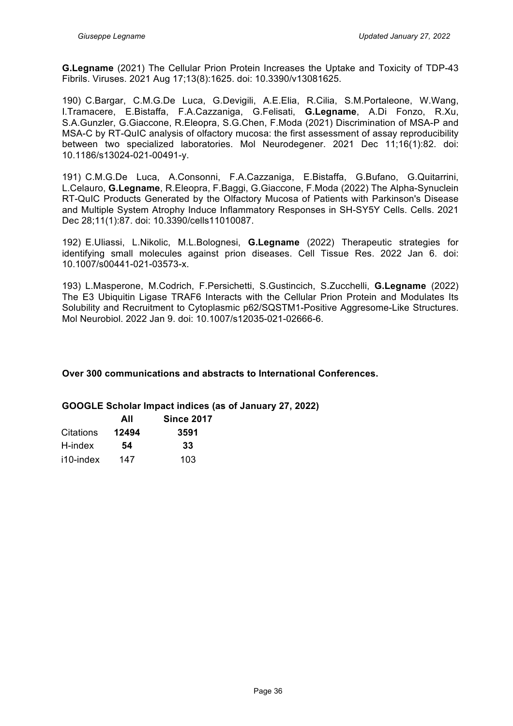**G.Legname** (2021) The Cellular Prion Protein Increases the Uptake and Toxicity of TDP-43 Fibrils. Viruses. 2021 Aug 17;13(8):1625. doi: 10.3390/v13081625.

190) C.Bargar, C.M.G.De Luca, G.Devigili, A.E.Elia, R.Cilia, S.M.Portaleone, W.Wang, I.Tramacere, E.Bistaffa, F.A.Cazzaniga, G.Felisati, **G.Legname**, A.Di Fonzo, R.Xu, S.A.Gunzler, G.Giaccone, R.Eleopra, S.G.Chen, F.Moda (2021) Discrimination of MSA-P and MSA-C by RT-QuIC analysis of olfactory mucosa: the first assessment of assay reproducibility between two specialized laboratories. Mol Neurodegener. 2021 Dec 11;16(1):82. doi: 10.1186/s13024-021-00491-y.

191) C.M.G.De Luca, A.Consonni, F.A.Cazzaniga, E.Bistaffa, G.Bufano, G.Quitarrini, L.Celauro, **G.Legname**, R.Eleopra, F.Baggi, G.Giaccone, F.Moda (2022) The Alpha-Synuclein RT-QuIC Products Generated by the Olfactory Mucosa of Patients with Parkinson's Disease and Multiple System Atrophy Induce Inflammatory Responses in SH-SY5Y Cells. Cells. 2021 Dec 28;11(1):87. doi: 10.3390/cells11010087.

192) E.Uliassi, L.Nikolic, M.L.Bolognesi, **G.Legname** (2022) Therapeutic strategies for identifying small molecules against prion diseases. Cell Tissue Res. 2022 Jan 6. doi: 10.1007/s00441-021-03573-x.

193) L.Masperone, M.Codrich, F.Persichetti, S.Gustincich, S.Zucchelli, **G.Legname** (2022) The E3 Ubiquitin Ligase TRAF6 Interacts with the Cellular Prion Protein and Modulates Its Solubility and Recruitment to Cytoplasmic p62/SQSTM1-Positive Aggresome-Like Structures. Mol Neurobiol. 2022 Jan 9. doi: 10.1007/s12035-021-02666-6.

#### **Over 300 communications and abstracts to International Conferences.**

#### **GOOGLE Scholar Impact indices (as of January 27, 2022)**

|           | AII   | <b>Since 2017</b> |
|-----------|-------|-------------------|
| Citations | 12494 | 3591              |
| H-index   | 54    | 33                |
| i10-index | 147   | 103               |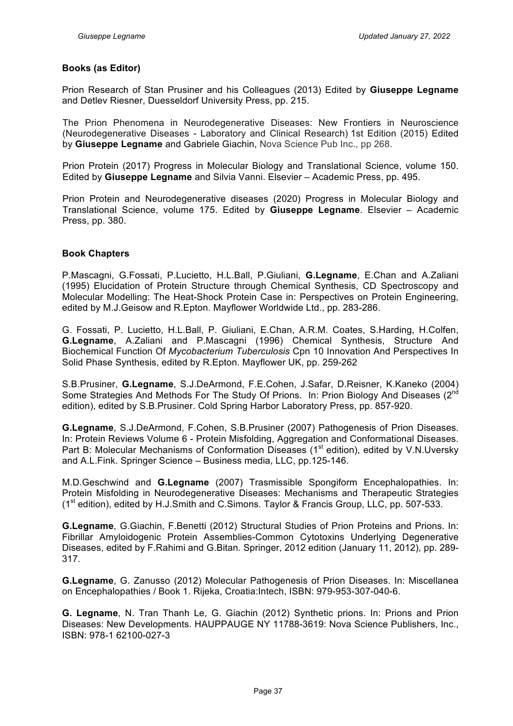#### **Books (as Editor)**

Prion Research of Stan Prusiner and his Colleagues (2013) Edited by **Giuseppe Legname** and Detlev Riesner, Duesseldorf University Press, pp. 215.

The Prion Phenomena in Neurodegenerative Diseases: New Frontiers in Neuroscience (Neurodegenerative Diseases - Laboratory and Clinical Research) 1st Edition (2015) Edited by **Giuseppe Legname** and Gabriele Giachin, Nova Science Pub Inc., pp 268.

Prion Protein (2017) Progress in Molecular Biology and Translational Science, volume 150. Edited by **Giuseppe Legname** and Silvia Vanni. Elsevier – Academic Press, pp. 495.

Prion Protein and Neurodegenerative diseases (2020) Progress in Molecular Biology and Translational Science, volume 175. Edited by **Giuseppe Legname**. Elsevier – Academic Press, pp. 380.

#### **Book Chapters**

P.Mascagni, G.Fossati, P.Lucietto, H.L.Ball, P.Giuliani, **G.Legname**, E.Chan and A.Zaliani (1995) Elucidation of Protein Structure through Chemical Synthesis, CD Spectroscopy and Molecular Modelling: The Heat-Shock Protein Case in: Perspectives on Protein Engineering, edited by M.J.Geisow and R.Epton. Mayflower Worldwide Ltd., pp. 283-286.

G. Fossati, P. Lucietto, H.L.Ball, P. Giuliani, E.Chan, A.R.M. Coates, S.Harding, H.Colfen, **G.Legname**, A.Zaliani and P.Mascagni (1996) Chemical Synthesis, Structure And Biochemical Function Of *Mycobacterium Tuberculosis* Cpn 10 Innovation And Perspectives In Solid Phase Synthesis, edited by R.Epton. Mayflower UK, pp. 259-262

S.B.Prusiner, **G.Legname**, S.J.DeArmond, F.E.Cohen, J.Safar, D.Reisner, K.Kaneko (2004) Some Strategies And Methods For The Study Of Prions. In: Prion Biology And Diseases (2<sup>nd</sup>) edition), edited by S.B.Prusiner. Cold Spring Harbor Laboratory Press, pp. 857-920.

**G.Legname**, S.J.DeArmond, F.Cohen, S.B.Prusiner (2007) Pathogenesis of Prion Diseases. In: Protein Reviews Volume 6 - Protein Misfolding, Aggregation and Conformational Diseases. Part B: Molecular Mechanisms of Conformation Diseases (1<sup>st</sup> edition), edited by V.N.Uversky and A.L.Fink. Springer Science – Business media, LLC, pp.125-146.

M.D.Geschwind and **G.Legname** (2007) Trasmissible Spongiform Encephalopathies. In: Protein Misfolding in Neurodegenerative Diseases: Mechanisms and Therapeutic Strategies  $(1<sup>st</sup> edition)$ , edited by H.J.Smith and C.Simons. Taylor & Francis Group, LLC, pp. 507-533.

**G.Legname**, G.Giachin, F.Benetti (2012) Structural Studies of Prion Proteins and Prions. In: Fibrillar Amyloidogenic Protein Assemblies-Common Cytotoxins Underlying Degenerative Diseases, edited by F.Rahimi and G.Bitan. Springer, 2012 edition (January 11, 2012), pp. 289- 317.

**G.Legname**, G. Zanusso (2012) Molecular Pathogenesis of Prion Diseases. In: Miscellanea on Encephalopathies / Book 1. Rijeka, Croatia:Intech, ISBN: 979-953-307-040-6.

**G. Legname**, N. Tran Thanh Le, G. Giachin (2012) Synthetic prions. In: Prions and Prion Diseases: New Developments. HAUPPAUGE NY 11788-3619: Nova Science Publishers, Inc., ISBN: 978-1 62100-027-3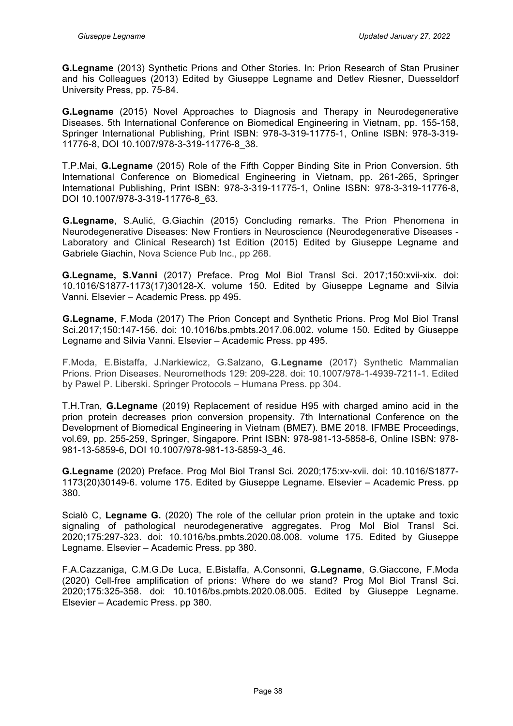**G.Legname** (2013) Synthetic Prions and Other Stories. In: Prion Research of Stan Prusiner and his Colleagues (2013) Edited by Giuseppe Legname and Detlev Riesner, Duesseldorf University Press, pp. 75-84.

**G.Legname** (2015) Novel Approaches to Diagnosis and Therapy in Neurodegenerative Diseases. 5th International Conference on Biomedical Engineering in Vietnam, pp. 155-158, Springer International Publishing, Print ISBN: 978-3-319-11775-1, Online ISBN: 978-3-319- 11776-8, DOI 10.1007/978-3-319-11776-8\_38.

T.P.Mai, **G.Legname** (2015) Role of the Fifth Copper Binding Site in Prion Conversion. 5th International Conference on Biomedical Engineering in Vietnam, pp. 261-265, Springer International Publishing, Print ISBN: 978-3-319-11775-1, Online ISBN: 978-3-319-11776-8, DOI 10.1007/978-3-319-11776-8\_63.

**G.Legname**, S.Aulić, G.Giachin (2015) Concluding remarks. The Prion Phenomena in Neurodegenerative Diseases: New Frontiers in Neuroscience (Neurodegenerative Diseases - Laboratory and Clinical Research) 1st Edition (2015) Edited by Giuseppe Legname and Gabriele Giachin, Nova Science Pub Inc., pp 268.

**G.Legname, S.Vanni** (2017) Preface. Prog Mol Biol Transl Sci. 2017;150:xvii-xix. doi: 10.1016/S1877-1173(17)30128-X. volume 150. Edited by Giuseppe Legname and Silvia Vanni. Elsevier – Academic Press. pp 495.

**G.Legname**, F.Moda (2017) The Prion Concept and Synthetic Prions. Prog Mol Biol Transl Sci.2017;150:147-156. doi: 10.1016/bs.pmbts.2017.06.002. volume 150. Edited by Giuseppe Legname and Silvia Vanni. Elsevier – Academic Press. pp 495.

F.Moda, E.Bistaffa, J.Narkiewicz, G.Salzano, **G.Legname** (2017) Synthetic Mammalian Prions. Prion Diseases. Neuromethods 129: 209-228. doi: 10.1007/978-1-4939-7211-1. Edited by Pawel P. Liberski. Springer Protocols – Humana Press. pp 304.

T.H.Tran, **G.Legname** (2019) Replacement of residue H95 with charged amino acid in the prion protein decreases prion conversion propensity. 7th International Conference on the Development of Biomedical Engineering in Vietnam (BME7). BME 2018. IFMBE Proceedings, vol.69, pp. 255-259, Springer, Singapore. Print ISBN: 978-981-13-5858-6, Online ISBN: 978- 981-13-5859-6, DOI 10.1007/978-981-13-5859-3\_46.

**G.Legname** (2020) Preface. Prog Mol Biol Transl Sci. 2020;175:xv-xvii. doi: 10.1016/S1877- 1173(20)30149-6. volume 175. Edited by Giuseppe Legname. Elsevier – Academic Press. pp 380.

Scialò C, **Legname G.** (2020) The role of the cellular prion protein in the uptake and toxic signaling of pathological neurodegenerative aggregates. Prog Mol Biol Transl Sci. 2020;175:297-323. doi: 10.1016/bs.pmbts.2020.08.008. volume 175. Edited by Giuseppe Legname. Elsevier – Academic Press. pp 380.

F.A.Cazzaniga, C.M.G.De Luca, E.Bistaffa, A.Consonni, **G.Legname**, G.Giaccone, F.Moda (2020) Cell-free amplification of prions: Where do we stand? Prog Mol Biol Transl Sci. 2020;175:325-358. doi: 10.1016/bs.pmbts.2020.08.005. Edited by Giuseppe Legname. Elsevier – Academic Press. pp 380.